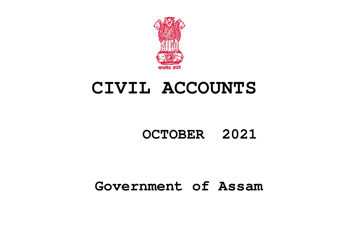

# **CIVIL ACCOUNTS**

# **OCTOBER 2021**

# **Government of Assam**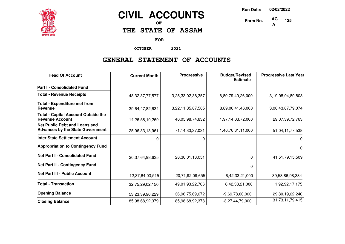

# **CIVIL ACCOUNTS**

**OF**

**THE STATE OF ASSAM**

**FOR**

**OCTOBER 2021**

### **GENERAL STATEMENT OF ACCOUNTS**

| <b>Head Of Account</b>                                                          | <b>Current Month</b> | <b>Progressive</b> | <b>Budget/Revised</b><br><b>Estimate</b> | <b>Progressive Last Year</b> |
|---------------------------------------------------------------------------------|----------------------|--------------------|------------------------------------------|------------------------------|
| <b>Part I - Consolidated Fund</b>                                               |                      |                    |                                          |                              |
| <b>Total - Revenue Receipts</b>                                                 | 48, 32, 37, 77, 577  | 3,25,33,02,38,357  | 8,89,79,40,26,000                        | 3,19,98,94,89,808            |
| <b>Total - Expenditure met from</b><br>Revenue                                  | 39,64,47,82,634      | 3,22,11,35,87,505  | 8,89,06,41,46,000                        | 3,00,43,87,79,074            |
| <b>Total - Capital Account Outside the</b><br><b>Revenue Account</b>            | 14,26,58,10,269      | 46,05,98,74,832    | 1,97,14,03,72,000                        | 29,07,39,72,763              |
| <b>Net Public Debt and Loans and</b><br><b>Advances by the State Government</b> | 25,96,33,13,961      | 71,14,33,37,031    | 1,46,76,31,11,000                        | 51,04,11,77,538              |
| Inter State Settlement Account                                                  | 0                    | 0                  |                                          | 0                            |
| <b>Appropriation to Contingency Fund</b>                                        |                      |                    |                                          | 0                            |
| <b>Net Part I - Consolidated Fund</b>                                           | 20,37,64,98,635      | 28,30,01,13,051    | $\Omega$                                 | 41,51,79,15,509              |
| <b>Net Part II - Contingency Fund</b>                                           |                      |                    | 0                                        |                              |
| <b>Net Part III - Public Account</b>                                            | 12,37,64,03,515      | 20,71,92,09,655    | 6,42,33,21,000                           | $-39,58,86,98,334$           |
| <b>Total - Transaction</b>                                                      | 32,75,29,02,150      | 49,01,93,22,706    | 6,42,33,21,000                           | 1,92,92,17,175               |
| <b>Opening Balance</b>                                                          | 53,23,39,90,229      | 36,96,75,69,672    | $-9,69,78,00,000$                        | 29,80,19,62,240              |
| <b>Closing Balance</b>                                                          | 85,98,68,92,379      | 85,98,68,92,378    | $-3,27,44,79,000$                        | 31,73,11,79,415              |

**Run Date: 02/02/2022**

**125**

**Form No. A**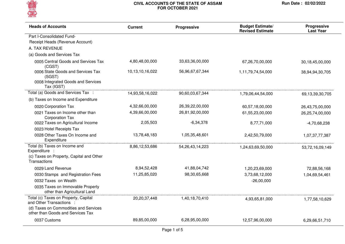

| <b>Heads of Accounts</b>                                                                        | <b>Current</b>  | <b>Progressive</b>  | <b>Budget Estimate/</b><br><b>Revised Estimate</b> | Progressive<br><b>Last Year</b> |
|-------------------------------------------------------------------------------------------------|-----------------|---------------------|----------------------------------------------------|---------------------------------|
| Part I-Consolidated Fund-                                                                       |                 |                     |                                                    |                                 |
| Receipt Heads (Revenue Account)                                                                 |                 |                     |                                                    |                                 |
| A. TAX REVENUE                                                                                  |                 |                     |                                                    |                                 |
| (a) Goods and Services Tax                                                                      |                 |                     |                                                    |                                 |
| 0005 Central Goods and Services Tax<br>(CGST)                                                   | 4,80,48,00,000  | 33,63,36,00,000     | 67,26,70,00,000                                    | 30,18,45,00,000                 |
| 0006 State Goods and Services Tax<br>(SGST)<br>0008 Integrated Goods and Services<br>Tax (IGST) | 10,13,10,16,022 | 56,96,67,67,344     | 1,11,79,74,54,000                                  | 38,94,94,30,705                 |
| Total (a) Goods and Services Tax :                                                              | 14,93,58,16,022 | 90,60,03,67,344     | 1,79,06,44,54,000                                  | 69,13,39,30,705                 |
| (b) Taxes on Income and Expenditure                                                             |                 |                     |                                                    |                                 |
| 0020 Corporation Tax                                                                            | 4,32,66,00,000  | 26,39,22,00,000     | 60,57,18,00,000                                    | 26,43,75,00,000                 |
| 0021 Taxes on Income other than<br><b>Corporation Tax</b>                                       | 4,39,66,00,000  | 26,81,92,00,000     | 61,55,23,00,000                                    | 26,25,74,00,000                 |
| 0022 Taxes on Agricultural Income                                                               | 2,05,503        | $-6,34,378$         | 8,77,71,000                                        | $-4,70,68,238$                  |
| 0023 Hotel Receipts Tax                                                                         |                 |                     |                                                    |                                 |
| 0028 Other Taxes On Income and<br>Expenditure                                                   | 13,78,48,183    | 1,05,35,48,601      | 2,42,50,79,000                                     | 1,07,37,77,387                  |
| Total (b) Taxes on Income and<br>Expenditure :                                                  | 8,86,12,53,686  | 54, 26, 43, 14, 223 | 1,24,63,69,50,000                                  | 53,72,16,09,149                 |
| (c) Taxes on Property, Capital and Other<br>Transactions                                        |                 |                     |                                                    |                                 |
| 0029 Land Revenue                                                                               | 8,94,52,428     | 41,88,04,742        | 1,20,23,69,000                                     | 72,88,56,168                    |
| 0030 Stamps and Registration Fees                                                               | 11,25,85,020    | 98,30,65,668        | 3,73,68,12,000                                     | 1,04,69,54,461                  |
| 0032 Taxes on Wealth                                                                            |                 |                     | $-26,00,000$                                       |                                 |
| 0035 Taxes on Immovable Property<br>other than Agricultural Land                                |                 |                     |                                                    |                                 |
| Total (c) Taxes on Property, Capital<br>and Other Transactions :                                | 20,20,37,448    | 1,40,18,70,410      | 4,93,65,81,000                                     | 1,77,58,10,629                  |
| (d) Taxes on Commodities and Services<br>other than Goods and Services Tax                      |                 |                     |                                                    |                                 |
| 0037 Customs                                                                                    | 89,85,00,000    | 6,28,95,00,000      | 12,57,96,00,000                                    | 6,29,66,51,710                  |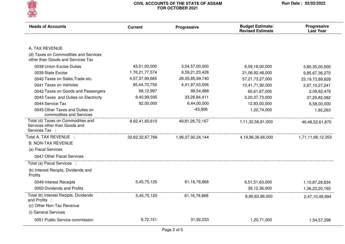

| <b>Heads of Accounts</b>                                                              | <b>Current</b>  | Progressive       | <b>Budget Estimate/</b><br><b>Revised Estimate</b> | <b>Progressive</b><br><b>Last Year</b> |
|---------------------------------------------------------------------------------------|-----------------|-------------------|----------------------------------------------------|----------------------------------------|
| A. TAX REVENUE                                                                        |                 |                   |                                                    |                                        |
| (d) Taxes on Commodities and Services<br>other than Goods and Services Tax            |                 |                   |                                                    |                                        |
| 0038 Union Excise Duties                                                              | 43,51,00,000    | 3,04,57,00,000    | 6,09,18,00,000                                     | 3,80,35,00,000                         |
| 0039 State Excise                                                                     | 1,76,21,77,574  | 9,59,21,23,428    | 21,06,92,48,000                                    | 9,85,67,36,270                         |
| 0040 Taxes on Sales, Trade etc.                                                       | 4,57,37,99,685  | 26,05,85,99,740   | 57,21,73,27,000                                    | 23,19,73,89,828                        |
| 0041 Taxes on Vehicles                                                                | 85,44,70,759    | 4,41,97,53,506    | 10,41,71,92,000                                    | 2,87,10,27,241                         |
| 0042 Taxes on Goods and Passengers                                                    | 68,12,997       | 99,54,988         | 60,61,67,000                                       | 2,09,82,476                            |
| 0043 Taxes and Duties on Electricity                                                  | 8,40,99,595     | 33,26,84,411      | 3,20,37,73,000                                     | 37,29,82,082                           |
| 0044 Service Tax                                                                      | 92,00,000       | 6,44,00,000       | 12,83,00,000                                       | 6,58,00,000                            |
| 0045 Other Taxes and Duties on<br>commodities and Services                            |                 | $-43,906$         | 1,22,74,000                                        | 1,92,263                               |
| Total (d) Taxes on Commodities and<br>Services other than Goods and<br>Services Tax : | 8,62,41,60,610  | 49,81,26,72,167   | 1,11,32,56,81,000                                  | 46,48,52,61,870                        |
| Total A. TAX REVENUE :                                                                | 32,62,32,67,766 | 1,96,07,92,24,144 | 4,19,96,36,66,000                                  | 1,71,11,66,12,353                      |
| <b>B. NON-TAX REVENUE</b>                                                             |                 |                   |                                                    |                                        |
| (a) Fiscal Services                                                                   |                 |                   |                                                    |                                        |
| 0047 Other Fiscal Services                                                            |                 |                   |                                                    |                                        |
| Total (a) Fiscal Services :                                                           |                 |                   |                                                    |                                        |
| (b) Interest Recipts, Dividends and<br><b>Profits</b>                                 |                 |                   |                                                    |                                        |
| 0049 Interest Receipts                                                                | 5,45,75,125     | 61, 16, 78, 868   | 8,51,51,63,000                                     | 1,10,87,29,834                         |
| 0050 Dividends and Profits                                                            |                 |                   | 39,12,36,000                                       | 1,36,23,20,160                         |
| Total (b) Interest Recipts, Dividends<br>and Profits :                                | 5,45,75,125     | 61, 16, 78, 868   | 8,90,63,99,000                                     | 2,47,10,49,994                         |
| (c) Other Non-Tax Revenue                                                             |                 |                   |                                                    |                                        |
| (i) General Services                                                                  |                 |                   |                                                    |                                        |
| 0051 Public Service commission                                                        | 8,72,151        | 31,92,033         | 1,20,71,000                                        | 1,54,57,396                            |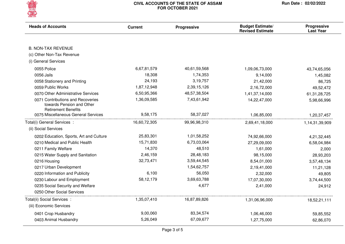

| <b>Heads of Accounts</b>                                                                     | <b>Current</b> | Progressive  | <b>Budget Estimate/</b><br><b>Revised Estimate</b> | <b>Progressive</b><br><b>Last Year</b> |
|----------------------------------------------------------------------------------------------|----------------|--------------|----------------------------------------------------|----------------------------------------|
| <b>B. NON-TAX REVENUE</b>                                                                    |                |              |                                                    |                                        |
| (c) Other Non-Tax Revenue                                                                    |                |              |                                                    |                                        |
| (i) General Services                                                                         |                |              |                                                    |                                        |
|                                                                                              |                |              |                                                    |                                        |
| 0055 Police                                                                                  | 6,67,81,579    | 40,61,59,568 | 1,09,06,73,000                                     | 43,74,65,056                           |
| 0056 Jails                                                                                   | 18,308         | 1,74,353     | 9,14,000                                           | 1,45,082                               |
| 0058 Stationery and Printing                                                                 | 24,193         | 3,19,757     | 21,42,000                                          | 86,725                                 |
| 0059 Public Works                                                                            | 1,87,12,948    | 2,39,15,126  | 2,16,72,000                                        | 49,52,472                              |
| 0070 Other Administrative Services                                                           | 6,50,95,366    | 48,57,38,504 | 1,41,37,14,000                                     | 61, 31, 28, 725                        |
| 0071 Contributions and Recoveries<br>towards Pension and Other<br><b>Retirement Benefits</b> | 1,36,09,585    | 7,43,61,942  | 14,22,47,000                                       | 5,98,66,996                            |
| 0075 Miscellaneous General Services                                                          | 9,58,175       | 58,37,027    | 1,06,85,000                                        | 1,20,37,457                            |
| Total(i) General Services :                                                                  | 16,60,72,305   | 99,96,98,310 | 2,69,41,18,000                                     | 1,14,31,39,909                         |
| (ii) Social Services                                                                         |                |              |                                                    |                                        |
| 0202 Education, Sports, Art and Culture                                                      | 25,83,301      | 1,01,58,252  | 74,92,66,000                                       | 4,21,32,445                            |
| 0210 Medical and Public Health                                                               | 15,71,830      | 6,73,03,064  | 27,29,09,000                                       | 6,58,04,984                            |
| 0211 Family Welfare                                                                          | 14,370         | 48,510       | 1,61,000                                           | 2,000                                  |
| 0215 Water Supply and Sanitation                                                             | 2,46,159       | 28,48,183    | 98,15,000                                          | 28,93,203                              |
| 0216 Housing                                                                                 | 32,73,471      | 3,59,44,545  | 8,54,01,000                                        | 3,57,48,134                            |
| 0217 Urban Development                                                                       |                | 1,54,62,757  | 2,19,41,000                                        | 11,21,128                              |
| 0220 Information and Publicity                                                               | 6,100          | 56,050       | 2,32,000                                           | 49,805                                 |
| 0230 Labour and Employment                                                                   | 58,12,179      | 3,69,63,788  | 17,07,30,000                                       | 3,74,44,500                            |
| 0235 Social Security and Welfare                                                             |                | 4,677        | 2,41,000                                           | 24,912                                 |
| 0250 Other Social Services                                                                   |                |              |                                                    |                                        |
| Total(ii) Social Services :                                                                  | 1,35,07,410    | 16,87,89,826 | 1,31,06,96,000                                     | 18,52,21,111                           |
| (iii) Economic Services                                                                      |                |              |                                                    |                                        |
| 0401 Crop Husbandry                                                                          | 9,00,060       | 83, 34, 574  | 1,06,46,000                                        | 59,85,552                              |
| 0403 Animal Husbandry                                                                        | 5,26,049       | 67,09,677    | 1,27,75,000                                        | 62,86,070                              |
|                                                                                              |                |              |                                                    |                                        |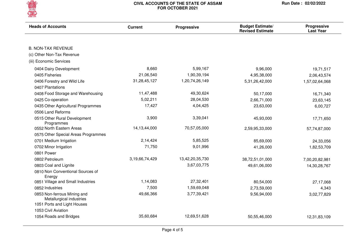

| <b>Heads of Accounts</b>                                | <b>Current</b> | Progressive     | <b>Budget Estimate/</b><br><b>Revised Estimate</b> | Progressive<br><b>Last Year</b> |
|---------------------------------------------------------|----------------|-----------------|----------------------------------------------------|---------------------------------|
| <b>B. NON-TAX REVENUE</b>                               |                |                 |                                                    |                                 |
| (c) Other Non-Tax Revenue                               |                |                 |                                                    |                                 |
| (iii) Economic Services                                 |                |                 |                                                    |                                 |
|                                                         |                |                 |                                                    |                                 |
| 0404 Dairy Development                                  | 8,660          | 5,99,167        | 9,96,000                                           | 19,71,517                       |
| 0405 Fisheries                                          | 21,06,540      | 1,90,39,194     | 4,95,38,000                                        | 2,06,43,574                     |
| 0406 Forestry and Wild Life                             | 31,28,45,127   | 1,20,74,26,149  | 5,31,26,42,000                                     | 1,57,02,64,068                  |
| 0407 Plantations                                        |                |                 |                                                    |                                 |
| 0408 Food Storage and Warehousing                       | 11,47,488      | 49,30,624       | 50,17,000                                          | 16,71,340                       |
| 0425 Co-operation                                       | 5,02,211       | 28,04,530       | 2,66,71,000                                        | 23,63,145                       |
| 0435 Other Agricultural Programmes                      | 17,427         | 4,04,425        | 23,63,000                                          | 6,00,727                        |
| 0506 Land Reforms                                       |                |                 |                                                    |                                 |
| 0515 Other Rural Development<br>Programmes              | 3,900          | 3,39,041        | 45,93,000                                          | 17,71,650                       |
| 0552 North Eastern Areas                                | 14,13,44,000   | 70,57,05,000    | 2,59,95,33,000                                     | 57,74,87,000                    |
| 0575 Other Special Areas Programmes                     |                |                 |                                                    |                                 |
| 0701 Medium Irrigation                                  | 2,14,424       | 5,85,525        | 85,69,000                                          | 24,33,056                       |
| 0702 Minor Irrigation                                   | 71,750         | 9,01,996        | 41,26,000                                          | 1,82,53,709                     |
| 0801 Power                                              |                |                 |                                                    |                                 |
| 0802 Petroleum                                          | 3,19,66,74,429 | 13,42,20,35,730 | 38,72,51,01,000                                    | 7,00,20,82,981                  |
| 0803 Coal and Lignite                                   |                | 3,67,03,775     | 49,61,06,000                                       | 14,30,28,767                    |
| 0810 Non Conventional Sources of<br>Energy              |                |                 |                                                    |                                 |
| 0851 Village and Small Industries                       | 1,14,083       | 27,32,401       | 80,54,000                                          | 27,17,068                       |
| 0852 Industries                                         | 7,500          | 1,59,69,048     | 2,73,59,000                                        | 4,343                           |
| 0853 Non-ferrous Mining and<br>Metallurgical industries | 49,66,366      | 3,77,39,421     | 9,56,94,000                                        | 3,02,77,829                     |
| 1051 Ports and Light Houses                             |                |                 |                                                    |                                 |
| 1053 Civil Aviation                                     |                |                 |                                                    |                                 |
| 1054 Roads and Bridges                                  | 35,60,684      | 12,69,51,628    | 50,55,46,000                                       | 12,31,83,109                    |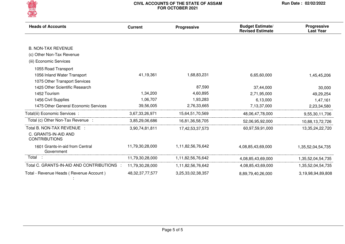

| <b>Heads of Accounts</b>                      | <b>Current</b>      | Progressive       | <b>Budget Estimate/</b><br><b>Revised Estimate</b> | Progressive<br><b>Last Year</b> |
|-----------------------------------------------|---------------------|-------------------|----------------------------------------------------|---------------------------------|
|                                               |                     |                   |                                                    |                                 |
| <b>B. NON-TAX REVENUE</b>                     |                     |                   |                                                    |                                 |
| (c) Other Non-Tax Revenue                     |                     |                   |                                                    |                                 |
| (iii) Economic Services                       |                     |                   |                                                    |                                 |
| 1055 Road Transport                           |                     |                   |                                                    |                                 |
| 1056 Inland Water Transport                   | 41,19,361           | 1,68,83,231       | 6,65,60,000                                        | 1,45,45,206                     |
| 1075 Other Transport Services                 |                     |                   |                                                    |                                 |
| 1425 Other Scientific Research                |                     | 87,590            | 37,44,000                                          | 30,000                          |
| 1452 Tourism                                  | 1,34,200            | 4,60,895          | 2,71,95,000                                        | 49,29,254                       |
| 1456 Civil Supplies                           | 1,06,707            | 1,93,283          | 6,13,000                                           | 1,47,161                        |
| 1475 Other General Economic Services          | 39,56,005           | 2,76,33,665       | 7,13,37,000                                        | 2,23,34,580                     |
| Total(iii) Economic Services :                | 3,67,33,26,971      | 15,64,51,70,569   | 48,06,47,78,000                                    | 9,55,30,11,706                  |
| Total (c) Other Non-Tax Revenue :             | 3,85,29,06,686      | 16,81,36,58,705   | 52,06,95,92,000                                    | 10,88,13,72,726                 |
| Total B. NON-TAX REVENUE :                    | 3,90,74,81,811      | 17,42,53,37,573   | 60,97,59,91,000                                    | 13,35,24,22,720                 |
| C. GRANTS-IN-AID AND<br><b>CONTRIBUTIONS</b>  |                     |                   |                                                    |                                 |
| 1601 Grants-in-aid from Central<br>Government | 11,79,30,28,000     | 1,11,82,56,76,642 | 4,08,85,43,69,000                                  | 1,35,52,04,54,735               |
| Total :                                       | 11,79,30,28,000     | 1,11,82,56,76,642 | 4,08,85,43,69,000                                  | 1,35,52,04,54,735               |
| Total C. GRANTS-IN-AID AND CONTRIBUTIONS      | 11,79,30,28,000     | 1,11,82,56,76,642 | 4,08,85,43,69,000                                  | 1,35,52,04,54,735               |
| Total - Revenue Heads (Revenue Account)       | 48, 32, 37, 77, 577 | 3,25,33,02,38,357 | 8,89,79,40,26,000                                  | 3,19,98,94,89,808               |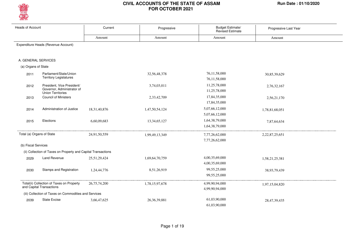

| <b>Heads of Account</b>             |                                                                                      | Current      | Progressive     | Budget Estimate/<br><b>Revised Estimate</b> | Progressive Last Year |  |
|-------------------------------------|--------------------------------------------------------------------------------------|--------------|-----------------|---------------------------------------------|-----------------------|--|
|                                     |                                                                                      | Amount       | Amount          | Amount                                      | Amount                |  |
| Expenditure Heads (Revenue Account) |                                                                                      |              |                 |                                             |                       |  |
| A. GENERAL SERVICES                 |                                                                                      |              |                 |                                             |                       |  |
| (a) Organs of State                 |                                                                                      |              |                 |                                             |                       |  |
| 2011                                | Parliament/State/Union<br><b>Territory Legislatures</b>                              |              | 32,56,48,378    | 76,11,58,000<br>76,11,58,000                | 30,85,39,629          |  |
| 2012                                | President, Vice President/<br>Governor, Administrator of<br><b>Union Territories</b> |              | 3,74,03,011     | 11,25,78,000<br>11,25,78,000                | 2,76,32,167           |  |
| 2013                                | <b>Council of Ministers</b>                                                          |              | 2,33,42,709     | 17,84,35,000<br>17,84,35,000                | 2,56,21,170           |  |
| 2014                                | Administration of Justice                                                            | 18,31,40,876 | 1,47,50,54,124  | 5,07,66,12,000<br>5,07,66,12,000            | 1,78,81,68,051        |  |
| 2015                                | Elections                                                                            | 6,60,09,683  | 13,34,65,127    | 1,64,38,79,000<br>1,64,38,79,000            | 7,87,64,634           |  |
| Total (a) Organs of State           |                                                                                      | 24,91,50,559 | 1,99,49,13,349  | 7,77,26,62,000<br>7,77,26,62,000            | 2,22,87,25,651        |  |
| (b) Fiscal Services                 |                                                                                      |              |                 |                                             |                       |  |
|                                     | (ii) Collection of Taxes on Property and Capital Transactions                        |              |                 |                                             |                       |  |
| 2029                                | Land Revenue                                                                         | 25,51,29,424 | 1,69,64,70,759  | 4,00,35,69,000<br>4,00,35,69,000            | 1,58,21,25,381        |  |
| 2030                                | Stamps and Registration                                                              | 1,24,44,776  | 8,51,26,919     | 99,55,25,000<br>99,55,25,000                | 38,93,79,439          |  |
|                                     | Total(ii) Collection of Taxes on Property<br>and Capital Transactions                | 26,75,74,200 | 1,78,15,97,678  | 4,99,90,94,000<br>4,99,90,94,000            | 1,97,15,04,820        |  |
|                                     | (iii) Collection of Taxes on Commodities and Services                                |              |                 |                                             |                       |  |
| 2039                                | <b>State Excise</b>                                                                  | 3,66,47,625  | 26, 36, 39, 881 | 61,03,90,000<br>61.03.90.000                | 28,47,39,435          |  |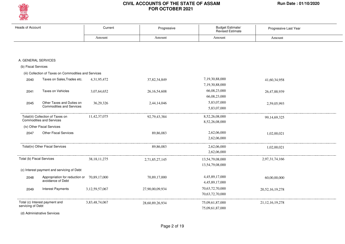

| <b>Heads of Account</b>                             |                                                                      | Current         | Progressive     | Budget Estimate/<br>Revised Estimate | Progressive Last Year |
|-----------------------------------------------------|----------------------------------------------------------------------|-----------------|-----------------|--------------------------------------|-----------------------|
|                                                     |                                                                      | Amount          | Amount          | Amount                               | Amount                |
|                                                     |                                                                      |                 |                 |                                      |                       |
| A. GENERAL SERVICES                                 |                                                                      |                 |                 |                                      |                       |
| (b) Fiscal Services                                 |                                                                      |                 |                 |                                      |                       |
|                                                     | (iii) Collection of Taxes on Commodities and Services                |                 |                 |                                      |                       |
| 2040                                                | Taxes on Sales, Trades etc.                                          | 4,31,95,472     | 37,82,34,849    | 7,19,30,88,000<br>7,19,30,88,000     | 41,60,34,958          |
| 2041                                                | Taxes on Vehicles                                                    | 3,07,64,652     | 26, 16, 54, 608 | 66,08,23,000<br>66,08,23,000         | 26,47,88,939          |
| 2045                                                | Other Taxes and Duties on<br><b>Commodities and Services</b>         | 36,29,326       | 2,44,14,046     | 5,83,07,000<br>5,83,07,000           | 2,59,05,993           |
|                                                     | Total(iii) Collection of Taxes on<br><b>Commodities and Services</b> | 11,42,37,075    | 92,79,43,384    | 8,52,26,08,000<br>8,52,26,08,000     | 99, 14, 69, 325       |
|                                                     | (iv) Other Fiscal Services                                           |                 |                 |                                      |                       |
| 2047                                                | <b>Other Fiscal Services</b>                                         |                 | 89,86,083       | 2,62,06,000<br>2,62,06,000           | 1,02,00,021           |
|                                                     | Total(iv) Other Fiscal Services                                      |                 | 89,86,083       | 2,62,06,000<br>2,62,06,000           | 1,02,00,021           |
| Total (b) Fiscal Services                           |                                                                      | 38, 18, 11, 275 | 2,71,85,27,145  | 13,54,79,08,000<br>13,54,79,08,000   | 2,97,31,74,166        |
|                                                     | (c) Interest payment and servicing of Debt                           |                 |                 |                                      |                       |
| 2048                                                | Appropriation for reduction or 70,89,17,000<br>avoidance of Debt     |                 | 70,89,17,000    | 4,45,89,17,000<br>4,45,89,17,000     | 60,00,00,000          |
| 2049                                                | <b>Interest Payments</b>                                             | 3,12,59,57,067  | 27,90,00,09,934 | 70,63,72,70,000<br>70,63,72,70,000   | 20, 52, 16, 19, 278   |
| Total (c) Interest payment and<br>servicing of Debt |                                                                      | 3,83,48,74,067  | 28,60,89,26,934 | 75,09,61,87,000<br>75,09,61,87,000   | 21, 12, 16, 19, 278   |
|                                                     | (d) Administrative Services                                          |                 |                 |                                      |                       |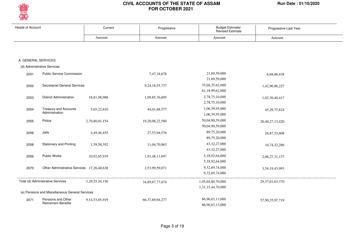

| <b>Heads of Account</b> |                                                 | Current            | Progressive         | <b>Budget Estimate/</b><br><b>Revised Estimate</b> | Progressive Last Year |
|-------------------------|-------------------------------------------------|--------------------|---------------------|----------------------------------------------------|-----------------------|
|                         |                                                 | Amount             | Amount              | Amount                                             | Amount                |
|                         |                                                 |                    |                     |                                                    |                       |
|                         |                                                 |                    |                     |                                                    |                       |
| A. GENERAL SERVICES     |                                                 |                    |                     |                                                    |                       |
|                         | (d) Administrative Services                     |                    |                     |                                                    |                       |
| 2051                    | <b>Public Service Commission</b>                |                    | 7,47,18,678         | 21,69,59,000                                       | 6,68,86,438           |
|                         |                                                 |                    |                     | 21,69,59,000                                       |                       |
| 2052                    | Secretariat-General Services                    |                    | 9,24,18,55,737      | 35,68,35,62,000                                    | 1,42,96,86,227        |
|                         |                                                 |                    |                     | 61,18,99,62,000                                    |                       |
| 2053                    | <b>District Administration</b>                  | 18,81,98,988       | 1,09,85,76,695      | 2,78,75,10,000                                     | 1,02,30,40,417        |
|                         |                                                 |                    |                     | 2,78,75,10,000                                     |                       |
| 2054                    | <b>Treasury and Accounts</b>                    | 5,65,22,610        | 44,01,68,577        | 1,06,39,95,000                                     | 45, 29, 75, 824       |
|                         | Administration                                  |                    |                     | 1,06,39,95,000                                     |                       |
| 2055                    | Police                                          | 2,70,80,01,154     | 19,20,08,22,580     | 50,04,90,59,000                                    | 20,40,27,13,420       |
|                         |                                                 |                    |                     | 50,04,90,59,000                                    |                       |
| 2056                    | Jails                                           | 4,49,46,455        | 27,53,94,576        | 89,75,20,000                                       | 26,87,53,608          |
|                         |                                                 |                    |                     | 89,75,20,000                                       |                       |
| 2058                    | <b>Stationery and Printing</b>                  | 1,59,58,392        | 11,04,70,063        | 43, 32, 27, 000                                    | 10,74,32,286          |
|                         |                                                 |                    |                     | 43, 32, 27, 000                                    |                       |
| 2059                    | <b>Public Works</b>                             | 10,92,85,919       | 1,91,48,11,697      | 5,18,92,64,000                                     | 2,08,27,31,157        |
|                         |                                                 |                    |                     | 5,18,92,64,000                                     |                       |
| 2070                    | Other Administrative Services 17,26,40,638      |                    | 2,53,99,59,071      | 9,32,69,74,000                                     | 3,54,19,43,993        |
|                         |                                                 |                    |                     | 9,32,69,74,000                                     |                       |
|                         | Total (d) Administrative Services               | 3, 29, 55, 54, 156 | 34,89,67,77,674     | 1,05,64,80,70,000                                  | 29, 37, 61, 63, 370   |
|                         |                                                 |                    |                     | 1,31,15,44,70,000                                  |                       |
|                         | (e) Pensions and Miscellaneous General Services |                    |                     |                                                    |                       |
| 2071                    | Pensions and Other                              | 9,14,53,85,919     | 66, 37, 69, 94, 277 | 86,96,63,13,000                                    | 57,90,35,97,719       |
|                         | <b>Retirement Benefits</b>                      |                    |                     | 86,96,63,13,000                                    |                       |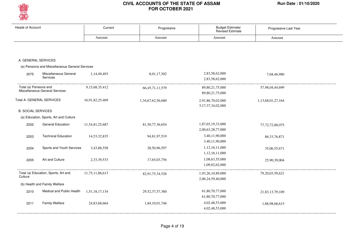

| <b>Heads of Account</b>   |                                                 | Current         | Progressive         | Budget Estimate/<br>Revised Estimate        | Progressive Last Year |
|---------------------------|-------------------------------------------------|-----------------|---------------------|---------------------------------------------|-----------------------|
|                           |                                                 | Amount          | Amount              | Amount                                      | Amount                |
|                           |                                                 |                 |                     |                                             |                       |
| A. GENERAL SERVICES       |                                                 |                 |                     |                                             |                       |
|                           | (e) Pensions and Miscellaneous General Services |                 |                     |                                             |                       |
| 2075                      | Miscellaneous General<br>Services               | 1,14,49,493     | 8,01,17,302         | 2,83,58,62,000<br>2,83,58,62,000            | 7,68,46,980           |
| Total (e) Pensions and    | Miscellaneous General Services                  | 9,15,68,35,412  | 66, 45, 71, 11, 579 | 89, 80, 21, 75, 000<br>89, 80, 21, 75, 000  | 57,98,04,44,699       |
|                           | Total A. GENERAL SERVICES                       | 16,91,82,25,469 | 1,34,67,62,56,680   | 2,91,86,70,02,000<br>3, 17, 37, 34, 02, 000 | 1,13,68,01,27,164     |
| <b>B. SOCIAL SERVICES</b> |                                                 |                 |                     |                                             |                       |
|                           | (a) Education, Sports, Art and Culture          |                 |                     |                                             |                       |
| 2202                      | <b>General Education</b>                        | 11,54,81,25,687 | 81,50,77,36,654     | 1,87,65,19,33,000<br>2,00,63,28,77,000      | 77, 72, 72, 88, 075   |
| 2203                      | <b>Technical Education</b>                      | 14,53,32,835    | 94,81,97,519        | 3,40,11,90,000<br>3,40,11,90,000            | 86, 33, 76, 871       |
| 2204                      | Sports and Youth Services                       | 3,43,88,558     | 28,50,96,597        | 1,12,16,11,000<br>1,12,16,11,000            | 35,06,55,671          |
| 2205                      | Art and Culture                                 | 2,33,39,533     | 17,65,03,756        | 1,08,63,55,000<br>1,09,02,62,000            | 25,90,39,004          |
| Culture                   | Total (a) Education, Sports, Art and            | 11,75,11,86,613 | 82,91,75,34,526     | 1,93,26,10,89,000<br>2,06,24,59,40,000      | 79, 20, 03, 59, 621   |
|                           | (b) Health and Family Welfare                   |                 |                     |                                             |                       |
| 2210                      | Medical and Public Health                       | 1,51,18,17,134  | 29, 52, 37, 57, 360 | 61,80,70,77,000<br>61,80,70,77,000          | 21,83,13,79,109       |
| 2211                      | <b>Family Welfare</b>                           | 24,83,68,664    | 1,84,10,01,746      | 4,02,48,53,000<br>4,02,48,53,000            | 1,88,98,68,615        |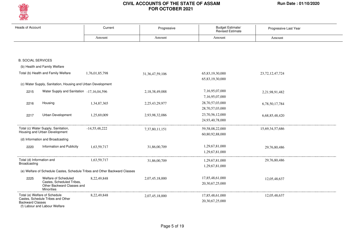

| <b>Heads of Account</b>   |                                                                              | Current         | Progressive         | Budget Estimate/<br><b>Revised Estimate</b> | Progressive Last Year |
|---------------------------|------------------------------------------------------------------------------|-----------------|---------------------|---------------------------------------------|-----------------------|
|                           |                                                                              | Amount          | Amount              | Amount                                      | Amount                |
|                           |                                                                              |                 |                     |                                             |                       |
|                           |                                                                              |                 |                     |                                             |                       |
| <b>B. SOCIAL SERVICES</b> |                                                                              |                 |                     |                                             |                       |
|                           | (b) Health and Family Welfare                                                |                 |                     |                                             |                       |
|                           | Total (b) Health and Family Welfare                                          | 1,76,01,85,798  | 31, 36, 47, 59, 106 | 65,83,19,30,000                             | 23, 72, 12, 47, 724   |
|                           |                                                                              |                 |                     | 65,83,19,30,000                             |                       |
|                           | (c) Water Supply, Sanitation, Housing and Urban Development                  |                 |                     |                                             |                       |
| 2215                      | Water Supply and Sanitation -17,16,04,596                                    |                 | 2,18,38,49,088      | 7,16,95,07,000                              | 2,21,98,91,482        |
|                           |                                                                              |                 |                     | 7,16,95,07,000                              |                       |
| 2216                      | Housing                                                                      | 1,34,87,365     | 2,25,43,29,977      | 28,70,57,03,000                             | 6,78,50,17,784        |
|                           |                                                                              |                 |                     | 28,70,57,03,000                             |                       |
| 2217                      | Urban Development                                                            | 1,25,69,009     | 2,93,98,32,086      | 23,70,56,12,000                             | 6,68,85,48,420        |
|                           |                                                                              |                 |                     | 24,93,40,78,000                             |                       |
|                           | Total (c) Water Supply, Sanitation,                                          | $-14,55,48,222$ | 7,37,80,11,151      | 59, 58, 08, 22, 000                         | 15,69,34,57,686       |
|                           | Housing and Urban Development                                                |                 |                     | 60,80,92,88,000                             |                       |
|                           | (d) Information and Broadcasting                                             |                 |                     |                                             |                       |
| 2220                      | Information and Publicity                                                    | 1,63,59,717     | 31,86,00,709        | 1,29,67,81,000                              | 29,76,80,486          |
|                           |                                                                              |                 |                     | 1,29,67,81,000                              |                       |
| Total (d) Information and |                                                                              | 1,63,59,717     | 31,86,00,709        | 1,29,67,81,000                              | 29,76,80,486          |
| Broadcasting              |                                                                              |                 |                     | 1,29,67,81,000                              |                       |
|                           | (e) Welfare of Schedule Castes, Schedule Tribes and Other Backward Classes   |                 |                     |                                             |                       |
| 2225                      | Welfare of Scheduled                                                         | 8,22,49,848     | 2,07,45,18,000      | 17,85,48,61,000                             | 12,05,48,637          |
|                           | Castes, Scheduled Tribes,<br>Other Backward Classes and<br><b>Minorities</b> |                 |                     | 20,30,67,25,000                             |                       |
|                           | Total (e) Welfare of Schedule                                                | 8,22,49,848     | 2,07,45,18,000      | 17,85,48,61,000                             | 12,05,48,637          |
| <b>Backward Classes</b>   | Castes, Schedule Tribes and Other<br>(f) Labour and Labour Welfare           |                 |                     | 20,30,67,25,000                             |                       |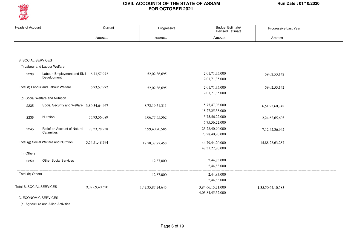

| <b>Heads of Account</b>   |                                                         | Current         | Progressive       | Budget Estimate/<br>Revised Estimate   | Progressive Last Year |
|---------------------------|---------------------------------------------------------|-----------------|-------------------|----------------------------------------|-----------------------|
|                           |                                                         | Amount          | Amount            | Amount                                 | Amount                |
|                           |                                                         |                 |                   |                                        |                       |
| <b>B. SOCIAL SERVICES</b> |                                                         |                 |                   |                                        |                       |
|                           | (f) Labour and Labour Welfare                           |                 |                   |                                        |                       |
| 2230                      | Labour, Employment and Skill 6,73,57,972<br>Development |                 | 52,02,36,695      | 2,01,71,35,000<br>2,01,71,35,000       | 59,02,53,142          |
|                           | Total (f) Labour and Labour Welfare                     | 6,73,57,972     | 52,02,36,695      | 2,01,71,35,000<br>2,01,71,35,000       | 59,02,53,142          |
|                           | (g) Social Welfare and Nutrition                        |                 |                   |                                        |                       |
| 2235                      | Social Security and Welfare 3,80,34,64,467              |                 | 8,72,19,51,311    | 15,75,47,08,000                        | 6,51,23,60,742        |
|                           |                                                         |                 |                   | 18,27,25,58,000                        |                       |
| 2236                      | Nutrition                                               | 75,93,56,089    | 3,06,77,55,562    | 5,75,56,22,000                         | 2,24,62,65,603        |
|                           |                                                         |                 |                   | 5,75,56,22,000                         |                       |
| 2245                      | Relief on Account of Natural<br>Calamities              | 98, 23, 28, 238 | 5,99,40,70,585    | 23,28,40,90,000                        | 7, 12, 42, 36, 942    |
|                           |                                                         |                 |                   | 23,28,40,90,000                        |                       |
|                           | Total (g) Social Welfare and Nutrition                  | 5,54,51,48,794  | 17,78,37,77,458   | 44,79,44,20,000                        | 15,88,28,63,287       |
|                           |                                                         |                 |                   | 47,31,22,70,000                        |                       |
| (h) Others                |                                                         |                 |                   |                                        |                       |
| 2250                      | <b>Other Social Services</b>                            |                 | 12,87,000         | 2,44,83,000                            |                       |
|                           |                                                         |                 |                   | 2,44,83,000                            |                       |
| Total (h) Others          |                                                         |                 | 12,87,000         | 2,44,83,000                            |                       |
|                           |                                                         |                 |                   | 2,44,83,000                            |                       |
| Total B. SOCIAL SERVICES  |                                                         | 19,07,69,40,520 | 1,42,35,87,24,645 | 3,84,66,15,21,000<br>4,03,84,45,52,000 | 1,35,50,64,10,583     |
| C. ECONOMIC SERVICES      |                                                         |                 |                   |                                        |                       |

(a) Agriculture and Allied Activities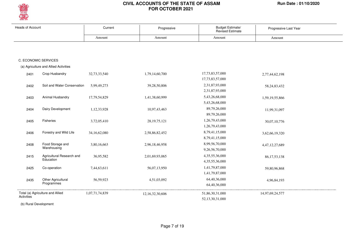

| <b>Heads of Account</b> |                                       | Current        | Progressive         | <b>Budget Estimate/</b><br><b>Revised Estimate</b> | Progressive Last Year |
|-------------------------|---------------------------------------|----------------|---------------------|----------------------------------------------------|-----------------------|
|                         |                                       | Amount         | Amount              | Amount                                             | Amount                |
|                         |                                       |                |                     |                                                    |                       |
| C. ECONOMIC SERVICES    |                                       |                |                     |                                                    |                       |
|                         | (a) Agriculture and Allied Activities |                |                     |                                                    |                       |
| 2401                    | Crop Husbandry                        | 32,73,33,540   | 1,79,14,60,700      | 17,73,83,57,000                                    | 2,77,44,62,198        |
|                         |                                       |                |                     | 17,73,83,57,000                                    |                       |
| 2402                    | Soil and Water Conservation           | 5,99,49,273    | 39,28,50,806        | 2,31,87,93,000                                     | 58, 24, 83, 432       |
|                         |                                       |                |                     | 2,31,87,93,000                                     |                       |
| 2403                    | Animal Husbandry                      | 17,79,54,829   | 1,41,38,60,999      | 5,43,26,68,000                                     | 1,59,19,55,866        |
|                         |                                       |                |                     | 5,43,26,68,000                                     |                       |
| 2404                    | Dairy Development                     | 1,12,33,928    | 10,97,43,463        | 89,79,26,000                                       | 11,99,31,097          |
|                         |                                       |                |                     | 89,79,26,000                                       |                       |
| 2405                    | Fisheries                             | 3,72,05,410    | 28, 19, 75, 121     | 1,26,79,43,000                                     | 30,07,10,776          |
|                         |                                       |                |                     | 1,26,79,43,000                                     |                       |
| 2406                    | Forestry and Wild Life                | 34,16,62,080   | 2,58,86,82,452      | 8,79,41,15,000                                     | 3,62,66,19,320        |
|                         |                                       |                |                     | 8,79,41,15,000                                     |                       |
| 2408                    | Food Storage and                      | 3,80,16,663    | 2,96,18,46,958      | 8,99,56,70,000                                     | 4,47,12,27,689        |
|                         | Warehousing                           |                |                     | 9,26,56,70,000                                     |                       |
| 2415                    | Agricultural Research and             | 36,95,582      | 2,01,69,93,065      | 4,35,55,36,000                                     | 86, 17, 53, 138       |
|                         | Education                             |                |                     | 4,35,55,36,000                                     |                       |
| 2425                    | Co-operation                          | 7,44,63,611    | 56,07,13,950        | 1,41,79,87,000                                     | 59,80,96,868          |
|                         |                                       |                |                     | 1,41,79,87,000                                     |                       |
| 2435                    | Other Agricultural                    | 56,59,923      | 4,51,03,092         | 64,40,36,000                                       | 4,96,84,193           |
|                         | Programmes                            |                |                     | 64,40,36,000                                       |                       |
|                         | Total (a) Agriculture and Allied      | 1,07,71,74,839 | 12, 16, 32, 30, 606 | 51,86,30,31,000                                    | 14,97,69,24,577       |
| Activities              |                                       |                |                     | 52,13,30,31,000                                    |                       |

(b) Rural Development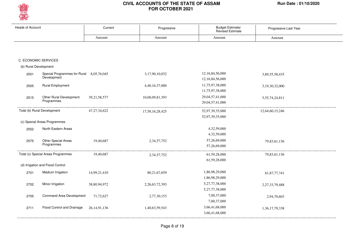

| <b>Heads of Account</b> |                                                         | Current         | Progressive     | Budget Estimate/<br><b>Revised Estimate</b> | Progressive Last Year |  |
|-------------------------|---------------------------------------------------------|-----------------|-----------------|---------------------------------------------|-----------------------|--|
|                         |                                                         | Amount          | Amount          | Amount                                      | Amount                |  |
|                         |                                                         |                 |                 |                                             |                       |  |
|                         | C. ECONOMIC SERVICES                                    |                 |                 |                                             |                       |  |
| (b) Rural Development   |                                                         |                 |                 |                                             |                       |  |
|                         |                                                         |                 |                 |                                             |                       |  |
| 2501                    | Special Programmes for Rural 8,05,76,045<br>Development |                 | 3,17,90,10,032  | 12,16,84,56,000                             | 3,89,55,58,435        |  |
|                         |                                                         |                 |                 | 12, 16, 84, 56, 000                         |                       |  |
| 2505                    | <b>Rural Employment</b>                                 |                 | 4,40,16,37,000  | 11,75,97,38,000                             | 3,19,30,32,000        |  |
|                         |                                                         |                 |                 | 11,75,97,38,000                             |                       |  |
| 2515                    | Other Rural Development<br>Programmes                   | 39, 21, 58, 577 | 10,00,09,81,393 | 29,04,57,41,000                             | 5,55,74,24,811        |  |
|                         |                                                         |                 |                 | 29,04,57,41,000                             |                       |  |
|                         | Total (b) Rural Development                             | 47, 27, 34, 622 | 17,58,16,28,425 | 52,97,39,35,000                             | 12,64,60,15,246       |  |
|                         |                                                         |                 |                 | 52,97,39,35,000                             |                       |  |
|                         | (c) Special Areas Programmes                            |                 |                 |                                             |                       |  |
| 2552                    | North Eastern Areas                                     |                 |                 | 4,32,59,000                                 |                       |  |
|                         |                                                         |                 |                 | 4,32,59,000                                 |                       |  |
| 2575                    | Other Special Areas                                     | 19,40,687       | 2,34,57,752     | 57,26,69,000                                | 79,83,61,136          |  |
|                         | Programmes                                              |                 |                 | 57,26,69,000                                |                       |  |
|                         | Total (c) Special Areas Programmes                      | 19,40,687       | 2,34,57,752     | 61,59,28,000                                | 79,83,61,136          |  |
|                         |                                                         |                 |                 | 61,59,28,000                                |                       |  |
|                         | (d) Irrigation and Flood Control                        |                 |                 |                                             |                       |  |
| 2701                    | Medium Irrigation                                       | 14,99,21,410    | 80,21,67,659    | 1,86,98,29,000                              | 81, 87, 77, 741       |  |
|                         |                                                         |                 |                 | 1,86,98,29,000                              |                       |  |
| 2702                    | Minor Irrigation                                        | 38,80,94,972    | 2,26,63,72,393  | 5,27,77,38,000                              | 2,27,33,79,488        |  |
|                         |                                                         |                 |                 | 5,27,77,38,000                              |                       |  |
| 2705                    | Command Area Development                                | 71,72,627       | 2,77,30,153     | 7,00,37,000                                 | 2,94,70,603           |  |
|                         |                                                         |                 |                 | 7,00,37,000                                 |                       |  |
| 2711                    | Flood Control and Drainage                              | 26, 14, 91, 136 | 1,40,63,59,543  | 3,66,41,68,000                              | 1,36,17,79,338        |  |
|                         |                                                         |                 |                 | 3,66,41,68,000                              |                       |  |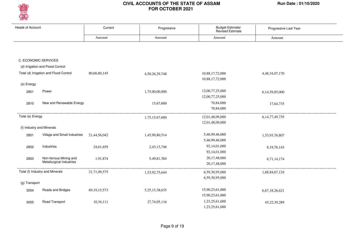

| <b>Heads of Account</b>   |                                                    | Current         | Progressive        | Budget Estimate/<br><b>Revised Estimate</b> | Progressive Last Year |
|---------------------------|----------------------------------------------------|-----------------|--------------------|---------------------------------------------|-----------------------|
|                           |                                                    | Amount          | Amount             | Amount                                      | Amount                |
|                           |                                                    |                 |                    |                                             |                       |
| C. ECONOMIC SERVICES      |                                                    |                 |                    |                                             |                       |
|                           | (d) Irrigation and Flood Control                   |                 |                    |                                             |                       |
|                           | Total (d) Irrigation and Flood Control             | 80,66,80,145    | 4,50,26,29,748     | 10,88,17,72,000<br>10,88,17,72,000          | 4,48,34,07,170        |
| (e) Energy                |                                                    |                 |                    |                                             |                       |
| 2801                      | Power                                              |                 | 1,75,00,00,000     | 12,00,77,25,000<br>12,00,77,25,000          | 6,14,59,85,000        |
| 2810                      | New and Renewable Energy                           |                 | 15,67,600          | 70,84,000<br>70,84,000                      | 17,64,735             |
| Total (e) Energy          |                                                    |                 | 1,75,15,67,600     | 12,01,48,09,000                             | 6, 14, 77, 49, 735    |
|                           |                                                    |                 |                    | 12,01,48,09,000                             |                       |
| (f) Industry and Minerals |                                                    |                 |                    |                                             |                       |
| 2851                      | Village and Small Industries                       | 21,44,56,042    | 1,45,99,80,514     | 5,46,99,46,000<br>5,46,99,46,000            | 1,53,93,76,807        |
| 2852                      | Industries                                         | 24,61,659       | 2,43,13,746        | 92,14,01,000<br>92,14,01,000                | 8, 19, 76, 143        |
| 2853                      | Non-ferrous Mining and<br>Metallurgical Industries | 1,91,874        | 5,49,81,384        | 20,17,48,000<br>20,17,48,000                | 6,71,14,174           |
|                           | Total (f) Industry and Minerals                    | 21,71,09,575    | 1,53,92,75,644     | 6,59,30,95,000                              | 1,68,84,67,124        |
|                           |                                                    |                 |                    | 6,59,30,95,000                              |                       |
| (g) Transport             |                                                    |                 |                    |                                             |                       |
| 3054                      | Roads and Bridges                                  | 69, 19, 15, 573 | 5, 25, 15, 38, 635 | 15,90,23,61,000<br>15,90,23,61,000          | 6,67,18,26,621        |
| 3055                      | Road Transport                                     | 10,34,111       | 27,74,05,116       | 1,23,25,61,000<br>1,23,25,61,000            | 45,22,30,289          |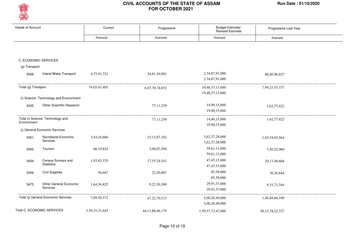

| <b>Heads of Account</b> |                                        | Current        | Progressive         | Budget Estimate/<br><b>Revised Estimate</b> | Progressive Last Year |
|-------------------------|----------------------------------------|----------------|---------------------|---------------------------------------------|-----------------------|
|                         |                                        | Amount         | Amount              | Amount                                      | Amount                |
|                         |                                        |                |                     |                                             |                       |
|                         |                                        |                |                     |                                             |                       |
|                         | C. ECONOMIC SERVICES                   |                |                     |                                             |                       |
| (g) Transport           |                                        |                |                     |                                             |                       |
| 3056                    | <b>Inland Water Transport</b>          | 4,75,91,721    | 54,81,30,901        | 2,34,87,91,000                              | 86,80,96,827          |
|                         |                                        |                |                     | 2,34,87,91,000                              |                       |
| Total (g) Transport     |                                        | 74,05,41,405   | 6,07,70,74,652      | 19,48,37,13,000                             | 7,99,21,53,737        |
|                         |                                        |                |                     | 19,48,37,13,000                             |                       |
|                         | (i) Science Technology and Environment |                |                     |                                             |                       |
| 3425                    | Other Scientific Research              |                | 77,11,239           | 14,90,15,000                                | 1,62,77,422           |
|                         |                                        |                |                     | 19,90,15,000                                |                       |
|                         | Total (i) Science Technology and       |                | 77,11,239           | 14,90,15,000                                | 1,62,77,422           |
| Environment             |                                        |                |                     | 19,90,15,000                                |                       |
|                         | (j) General Economic Services          |                |                     |                                             |                       |
| 3451                    | Secretariat-Economic                   | 3,54,16,686    | 15, 13, 87, 182     | 3,62,37,28,000                              | 1,03,54,65,564        |
|                         | Services                               |                |                     | 3,62,37,28,000                              |                       |
| 3452                    | Tourism                                | 66,19,824      | 5,09,07,594         | 59,61,11,000                                | 7,50,52,960           |
|                         |                                        |                |                     | 59,61,11,000                                |                       |
| 3454                    | Census Surveys and                     | 1,83,82,370    | 17,55,24,541        | 47, 45, 15, 000                             | 20,17,49,668          |
|                         | <b>Statistics</b>                      |                |                     | 47, 45, 15, 000                             |                       |
| 3456                    | <b>Civil Supplies</b>                  | 94,667         | 22,20,887           | 85,58,000                                   | 30,26,644             |
|                         |                                        |                |                     | 85,58,000                                   |                       |
| 3475                    | Other General Economic                 | 1,64,36,825    | 9,22,30,309         | 29,91,37,000                                | 9,31,71,344           |
|                         | Services                               |                |                     | 29,91,37,000                                |                       |
|                         | Total (j) General Economic Services    | 7,69,50,372    | 47, 22, 70, 513     | 5,00,20,49,000                              | 1,40,84,66,180        |
|                         |                                        |                |                     | 5,00,20,49,000                              |                       |
|                         | Total C. ECONOMIC SERVICES             | 3,39,31,31,645 | 44, 11, 88, 46, 179 | 1,59,57,73,47,000                           | 50, 15, 78, 22, 327   |
|                         |                                        |                |                     |                                             |                       |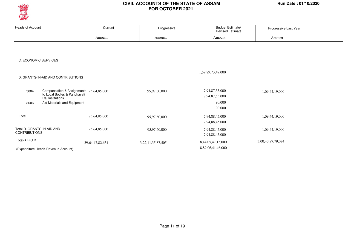

| <b>Heads of Account</b>                                 | Current                                 | Progressive            | Budget Estimate/<br>Revised Estimate | Progressive Last Year |
|---------------------------------------------------------|-----------------------------------------|------------------------|--------------------------------------|-----------------------|
|                                                         | Amount                                  | Amount                 | Amount                               | Amount                |
|                                                         |                                         |                        |                                      |                       |
|                                                         |                                         |                        |                                      |                       |
| C. ECONOMIC SERVICES                                    |                                         |                        |                                      |                       |
|                                                         |                                         |                        |                                      |                       |
|                                                         |                                         |                        | 1,59,89,73,47,000                    |                       |
| D. GRANTS-IN-AID AND CONTRIBUTIONS                      |                                         |                        |                                      |                       |
|                                                         |                                         |                        |                                      |                       |
| 3604<br>to Local Bodies & Panchayati                    | Compensation & Assignments 25,64,85,000 | 95,97,60,000           | 7,94,87,55,000<br>7,94,87,55,000     | 1,09,44,19,000        |
| Raj Institutions<br>Aid Materials and Equipment<br>3606 |                                         |                        | 90,000                               |                       |
|                                                         |                                         |                        | 90,000                               |                       |
| Total                                                   | 25,64,85,000                            | 95,97,60,000           | 7,94,88,45,000                       | 1,09,44,19,000        |
|                                                         |                                         |                        | 7,94,88,45,000                       |                       |
| Total D. GRANTS-IN-AID AND                              | 25,64,85,000                            | 95,97,60,000           | 7,94,88,45,000                       | 1,09,44,19,000        |
| <b>CONTRIBUTIONS</b>                                    |                                         |                        | 7,94,88,45,000                       |                       |
| Total-A.B.C.D.                                          | 39, 64, 47, 82, 634                     | 3, 22, 11, 35, 87, 505 | 8,44,05,47,15,000                    | 3,00,43,87,79,074     |
| (Expenditure Heads-Revenue Account)                     |                                         |                        | 8,89,06,41,46,000                    |                       |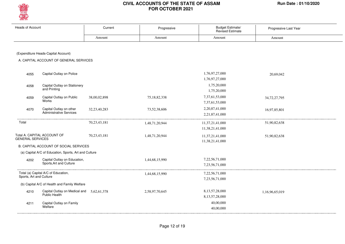

| <b>Heads of Account</b> |                                                            | Current         | Progressive    | Budget Estimate/<br><b>Revised Estimate</b> | Progressive Last Year |
|-------------------------|------------------------------------------------------------|-----------------|----------------|---------------------------------------------|-----------------------|
|                         |                                                            | Amount          | Amount         | Amount                                      | Amount                |
|                         |                                                            |                 |                |                                             |                       |
|                         | (Expenditure Heads-Capital Account)                        |                 |                |                                             |                       |
|                         | A. CAPITAL ACCOUNT OF GENERAL SERVICES                     |                 |                |                                             |                       |
|                         |                                                            |                 |                |                                             |                       |
| 4055                    | Capital Outlay on Police                                   |                 |                | 1,76,97,27,000<br>1,76,97,27,000            | 20,69,042             |
|                         | Capital Outlay on Stationery                               |                 |                | 1,75,20,000                                 |                       |
| 4058                    | and Printing                                               |                 |                | 1,75,20,000                                 |                       |
| 4059                    | Capital Outlay on Public                                   | 38,00,02,898    | 75,18,82,338   | 7,37,61,53,000                              | 34, 72, 27, 795       |
|                         | Works                                                      |                 |                | 7,37,61,53,000                              |                       |
| 4070                    | Capital Outlay on other                                    | 32,23,40,283    | 73,52,38,606   | 2, 20, 87, 41, 000                          | 16,97,85,801          |
|                         | Administrative Services                                    |                 |                | 2,21,87,41,000                              |                       |
| Total                   |                                                            | 70, 23, 43, 181 | 1,48,71,20,944 | 11,37,21,41,000                             | 51,90,82,638          |
|                         |                                                            |                 |                | 11,38,21,41,000                             |                       |
|                         | Total A. CAPITAL ACCOUNT OF                                | 70,23,43,181    | 1,48,71,20,944 | 11,37,21,41,000                             | 51,90,82,638          |
| <b>GENERAL SERVICES</b> |                                                            |                 |                | 11,38,21,41,000                             |                       |
|                         | B. CAPITAL ACCOUNT OF SOCIAL SERVICES                      |                 |                |                                             |                       |
|                         | (a) Capital A/C of Education, Sports, Art and Culture      |                 |                |                                             |                       |
| 4202                    | Capital Outlay on Education,                               |                 | 1,44,68,15,990 | 7,22,56,71,000                              |                       |
|                         | Sports, Art and Culture                                    |                 |                | 7,23,56,71,000                              |                       |
|                         | Total (a) Capital A/C of Education,                        |                 | 1,44,68,15,990 | 7,22,56,71,000                              |                       |
| Sports, Art and Culture |                                                            |                 |                | 7,23,56,71,000                              |                       |
|                         | (b) Capital A/C of Health and Family Welfare               |                 |                |                                             |                       |
| 4210                    | Capital Outlay on Medical and 5,62,61,378<br>Public Health |                 | 2,58,97,70,645 | 8, 13, 57, 28, 000                          | 1,16,96,65,019        |
|                         |                                                            |                 |                | 8,13,57,28,000                              |                       |
| 4211                    | Capital Outlay on Family                                   |                 |                | 40,00,000                                   |                       |
|                         | Welfare                                                    |                 |                | 40,00,000                                   |                       |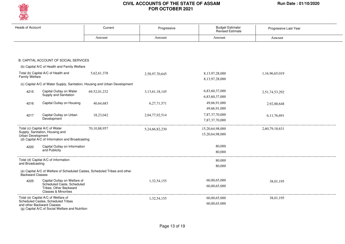

| <b>Heads of Account</b> |                                                                                                                                                            | Current                                                                    | Progressive    | Budget Estimate/<br>Revised Estimate | Progressive Last Year |  |
|-------------------------|------------------------------------------------------------------------------------------------------------------------------------------------------------|----------------------------------------------------------------------------|----------------|--------------------------------------|-----------------------|--|
|                         |                                                                                                                                                            | Amount                                                                     | Amount         | Amount                               | Amount                |  |
|                         |                                                                                                                                                            |                                                                            |                |                                      |                       |  |
|                         | B. CAPITAL ACCOUNT OF SOCIAL SERVICES                                                                                                                      |                                                                            |                |                                      |                       |  |
|                         | (b) Capital A/C of Health and Family Welfare                                                                                                               |                                                                            |                |                                      |                       |  |
| Family Welfare          | Total (b) Capital A/C of Health and                                                                                                                        | 5.62.61.378                                                                | 2,58,97,70,645 | 8,13,97,28,000<br>8,13,97,28,000     | 1,16,96,65,019        |  |
|                         |                                                                                                                                                            | (c) Capital A/C of Water Supply, Sanitation, Housing and Urban Development |                |                                      |                       |  |
| 4215                    | Capital Outlay on Water<br>Supply and Sanitation                                                                                                           | 69,52,01,232                                                               | 3,13,61,18,145 | 6,83,60,37,000<br>6,83,60,37,000     | 2,51,74,53,292        |  |
| 4216                    | Capital Outlay on Housing                                                                                                                                  | 40,64,683                                                                  | 6,27,71,571    | 49,66,91,000                         | 2,92,88,648           |  |
|                         |                                                                                                                                                            |                                                                            |                | 49,66,91,000                         |                       |  |
| 4217                    | Capital Outlay on Urban<br>Development                                                                                                                     | 18,23,042                                                                  | 2,04,77,92,514 | 7,87,37,70,000<br>7,87,37,70,000     | 6,11,76,691           |  |
| Urban Development       | Total (c) Capital A/C of Water<br>Supply, Sanitation, Housing and<br>(d) Capital A/C of Information and Broadcasting                                       | 70, 10, 88, 957                                                            | 5,24,66,82,230 | 15,20,64,98,000<br>15,20,64,98,000   | 2,60,79,18,631        |  |
| 4220                    | Capital Outlay on Information<br>and Publicity                                                                                                             |                                                                            |                | 80,000<br>80,000                     |                       |  |
| and Broadcasting        | Total (d) Capital A/C of Information                                                                                                                       |                                                                            |                | 80,000<br>80,000                     |                       |  |
| Backward Classes        |                                                                                                                                                            | (e) Capital A/C of Welfare of Scheduled Castes, Scheduled Tribes and other |                |                                      |                       |  |
| 4225                    | Capital Outlay on Welfare of<br>Scheduled Caste, Scheduled<br>Tribes, Other Backward<br><b>Classes &amp; Minorities</b>                                    |                                                                            | 1,32,54,155    | 60,00,65,000<br>60,00,65,000         | 38,01,195             |  |
|                         | Total (e) Capital A/C of Welfare of<br>Scheduled Castes, Scheduled Tribes<br>and other Backward Classes<br>(g) Capital A/C of Social Welfare and Nutrition |                                                                            | 1,32,54,155    | 60,00,65,000<br>60,00,65,000         | 38,01,195             |  |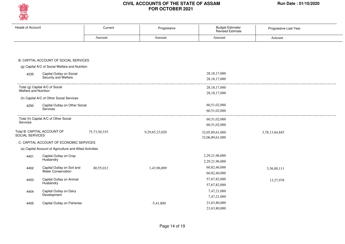

| <b>Heads of Account</b>                                  | Current         | Progressive    | <b>Budget Estimate/</b><br>Revised Estimate | Progressive Last Year |
|----------------------------------------------------------|-----------------|----------------|---------------------------------------------|-----------------------|
|                                                          | Amount          | Amount         | Amount                                      | Amount                |
|                                                          |                 |                |                                             |                       |
|                                                          |                 |                |                                             |                       |
|                                                          |                 |                |                                             |                       |
| B. CAPITAL ACCOUNT OF SOCIAL SERVICES                    |                 |                |                                             |                       |
| (g) Capital A/C of Social Welfare and Nutrition          |                 |                |                                             |                       |
| Capital Outlay on Social<br>4235                         |                 |                | 28, 18, 17, 000                             |                       |
| Security and Welfare                                     |                 |                | 28, 18, 17, 000                             |                       |
| Total (g) Capital A/C of Social                          |                 |                | 28, 18, 17, 000                             |                       |
| Welfare and Nutrition                                    |                 |                | 28, 18, 17, 000                             |                       |
| (h) Capital A/C of Other Social Services                 |                 |                |                                             |                       |
| Capital Outlay on Other Social<br>4250                   |                 |                | 60,51,02,000                                |                       |
| Services                                                 |                 |                | 60,51,02,000                                |                       |
|                                                          |                 |                |                                             |                       |
| Total (h) Capital A/C of Other Social<br>Services        |                 |                | 60,51,02,000                                |                       |
|                                                          |                 |                | 60,51,02,000                                |                       |
| Total B. CAPITAL ACCOUNT OF<br><b>SOCIAL SERVICES</b>    | 75, 73, 50, 335 | 9,29,65,23,020 | 32,05,89,61,000                             | 3,78,13,84,845        |
|                                                          |                 |                | 32,06,89,61,000                             |                       |
| C. CAPITAL ACCOUNT OF ECONOMIC SERVICES                  |                 |                |                                             |                       |
| (a) Capital Account of Agriculture and Allied Activities |                 |                |                                             |                       |
| Capital Outlay on Crop<br>4401                           |                 |                | 2,29,21,96,000                              |                       |
| Husbandry                                                |                 |                | 2,29,21,96,000                              |                       |
| Capital Outlay on Soil and<br>4402                       | 80,55,012       | 1,43,96,009    | 60,82,40,000                                | 3,36,00,111           |
| Water Conservation                                       |                 |                | 60,82,40,000                                |                       |
| Capital Outlay on Animal<br>4403                         |                 |                | 57,67,82,000                                | 13,27,978             |
| Husbandry                                                |                 |                | 57,67,82,000                                |                       |
| Capital Outlay on Dairy<br>4404                          |                 |                | 7,47,21,000                                 |                       |
| Development                                              |                 |                | 7,47,21,000                                 |                       |
| Capital Outlay on Fisheries<br>4405                      |                 | $-5,41,800$    | 21,63,80,000                                |                       |
|                                                          |                 |                | 21,63,80,000                                |                       |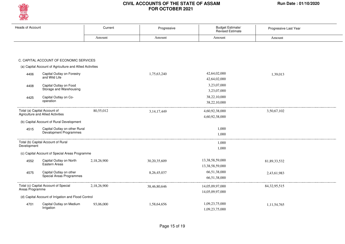

| <b>Heads of Account</b> |                                                                   | Current     | Progressive     | Budget Estimate/<br><b>Revised Estimate</b> | Progressive Last Year |
|-------------------------|-------------------------------------------------------------------|-------------|-----------------|---------------------------------------------|-----------------------|
|                         |                                                                   | Amount      | Amount          | Amount                                      | Amount                |
|                         |                                                                   |             |                 |                                             |                       |
|                         | C. CAPITAL ACCOUNT OF ECONOMIC SERVICES                           |             |                 |                                             |                       |
|                         | (a) Capital Account of Agriculture and Allied Activities          |             |                 |                                             |                       |
| 4406                    | Capital Outlay on Forestry<br>and Wild Life                       |             | 1,75,63,240     | 42,64,02,000<br>42,64,02,000                | 1,39,013              |
| 4408                    | Capital Outlay on Food<br>Storage and Warehousing                 |             |                 | 3,23,07,000<br>3,23,07,000                  |                       |
| 4425                    | Capital Outlay on Co-<br>operation                                |             |                 | 38,22,10,000<br>38,22,10,000                |                       |
|                         | Total (a) Capital Account of<br>Agriculture and Allied Activities | 80,55,012   | 3, 14, 17, 449  | 4,60,92,38,000<br>4,60,92,38,000            | 3,50,67,102           |
|                         | (b) Capital Account of Rural Development                          |             |                 |                                             |                       |
| 4515                    | Capital Outlay on other Rural<br>Devalopment Programmes           |             |                 | 1,000<br>1,000                              |                       |
| Development             | Total (b) Capital Account of Rural                                |             |                 | 1,000<br>1,000                              |                       |
|                         | (c) Capital Account of Special Areas Programme                    |             |                 |                                             |                       |
| 4552                    | Capital Outlay on North<br>Eastern Areas                          | 2,18,26,900 | 30, 20, 35, 609 | 13,38,58,59,000<br>13,38,58,59,000          | 81,89,33,532          |
| 4575                    | Capital Outlay on other<br>Special Areas Programmes               |             | 8,26,45,037     | 66,51,38,000<br>66,51,38,000                | 2,43,61,983           |
| Areas Programme         | Total (c) Capital Account of Special                              | 2,18,26,900 | 38,46,80,646    | 14,05,09,97,000<br>14,05,09,97,000          | 84, 32, 95, 515       |
|                         | (d) Capital Account of Irrigation and Flood Control               |             |                 |                                             |                       |
| 4701                    | Capital Outlay on Medium<br>Irrigation                            | 93,06,000   | 1,58,64,656     | 1,09,23,75,000<br>1,09,23,75,000            | 1,11,54,765           |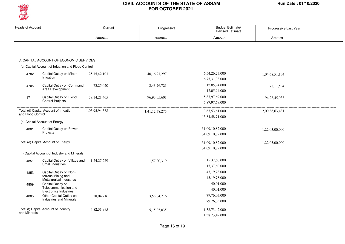

| <b>Heads of Account</b> |                                                        | Current         | Progressive    | Budget Estimate/<br><b>Revised Estimate</b> | Progressive Last Year |
|-------------------------|--------------------------------------------------------|-----------------|----------------|---------------------------------------------|-----------------------|
|                         |                                                        | Amount          | Amount         | Amount                                      | Amount                |
|                         |                                                        |                 |                |                                             |                       |
|                         | C. CAPITAL ACCOUNT OF ECONOMIC SERVICES                |                 |                |                                             |                       |
|                         | (d) Capital Account of Irrigation and Flood Control    |                 |                |                                             |                       |
| 4702                    | Capital Outlay on Minor<br>Irrigation                  | 25, 15, 42, 103 | 40,16,91,297   | 6,54,26,23,000<br>6,75,31,33,000            | 1,04,68,51,134        |
| 4705                    | Capital Outlay on Command<br>Area Development          | 73,25,020       | 2,43,76,721    | 12,05,94,000<br>12,05,94,000                | 78,11,594             |
| 4711                    | Capital Outlay on Flood<br>Control Projects            | 79, 14, 21, 465 | 96,93,05,601   | 5,87,97,69,000<br>5,87,97,69,000            | 94,28,45,938          |
| and Flood Control       | Total (d) Capital Account of Irrigation                | 1,05,95,94,588  | 1,41,12,38,275 | 13,63,53,61,000<br>13,84,58,71,000          | 2,00,86,63,431        |
|                         | (e) Capital Account of Energy                          |                 |                |                                             |                       |
| 4801                    | Capital Outlay on Power                                |                 |                | 31,09,10,82,000                             | 1,22,03,00,000        |
|                         | Projects                                               |                 |                | 31,09,10,82,000                             |                       |
|                         | Total (e) Capital Account of Energy                    |                 |                | 31,09,10,82,000                             | 1,22,03,00,000        |
|                         |                                                        |                 |                | 31,09,10,82,000                             |                       |
|                         | (f) Capital Account of Industry and Minerals           |                 |                |                                             |                       |
| 4851                    | Capital Outlay on Village and                          | 1,24,27,279     | 1,57,20,319    | 15,37,60,000                                |                       |
|                         | Small Industries                                       |                 |                | 15,37,60,000                                |                       |
| 4853                    | Capital Outlay on Non-                                 |                 |                | 43, 19, 78, 000                             |                       |
|                         | ferrous Mining and<br>Metallurgical Industries         |                 |                | 43, 19, 78, 000                             |                       |
| 4859                    | Capital Outlay on                                      |                 |                | 40,01,000                                   |                       |
|                         | Telecommunication and<br><b>Electronics Industries</b> |                 |                | 40,01,000                                   |                       |
| 4885                    | Other Capital Outlay on                                | 3,58,04,716     | 3,58,04,716    | 79,76,03,000                                |                       |
|                         | <b>Industries and Minerals</b>                         |                 |                | 79,76,03,000                                |                       |
|                         | Total (f) Capital Account of Industry                  | 4,82,31,995     | 5,15,25,035    | 1,38,73,42,000                              |                       |
| and Minerals            |                                                        |                 |                | 1,38,73,42,000                              |                       |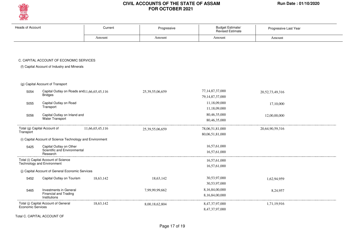

| <b>Heads of Account</b> |                                                                           | Current         | Progressive         | <b>Budget Estimate/</b><br><b>Revised Estimate</b> | Progressive Last Year |
|-------------------------|---------------------------------------------------------------------------|-----------------|---------------------|----------------------------------------------------|-----------------------|
|                         |                                                                           | Amount          | Amount              | Amount                                             | Amount                |
|                         |                                                                           |                 |                     |                                                    |                       |
|                         | C. CAPITAL ACCOUNT OF ECONOMIC SERVICES                                   |                 |                     |                                                    |                       |
|                         | (f) Capital Account of Industry and Minerals                              |                 |                     |                                                    |                       |
|                         | (g) Capital Account of Transport                                          |                 |                     |                                                    |                       |
| 5054                    | Capital Outlay on Roads and 11, 66, 65, 45, 116<br><b>Bridges</b>         |                 | 25,39,55,06,659     | 77, 14, 87, 37, 000<br>79, 14, 87, 37, 000         | 20,52,73,49,316       |
| 5055                    | Capital Outlay on Road<br>Transport                                       |                 |                     | 11,18,09,000<br>11,18,09,000                       | 17,10,000             |
| 5056                    | Capital Outlay on Inland and<br><b>Water Transport</b>                    |                 |                     | 80,46,35,000<br>80,46,35,000                       | 12,00,00,000          |
| Transport               | Total (g) Capital Account of                                              | 11,66,65,45,116 | 25, 39, 55, 06, 659 | 78,06,51,81,000<br>80,06,51,81,000                 | 20,64,90,59,316       |
|                         | (i) Capital Account of Science Technology and Environment                 |                 |                     |                                                    |                       |
| 5425                    | Capital Outlay on Other<br>Scientific and Environmental<br>Research       |                 |                     | 16,57,61,000<br>16,57,61,000                       |                       |
|                         | Total (i) Capital Account of Science<br><b>Technology and Environment</b> |                 |                     | 16,57,61,000<br>16,57,61,000                       |                       |
|                         | (j) Capital Account of General Economic Services                          |                 |                     |                                                    |                       |
| 5452                    | Capital Outlay on Tourism                                                 | 18,63,142       | 18,63,142           | 30,53,97,000<br>30,53,97,000                       | 1,62,94,959           |
| 5465                    | Investments in General<br><b>Financial and Trading</b><br>Institutions    |                 | 7,99,99,99,662      | 8,16,84,00,000<br>8,16,84,00,000                   | 8,24,957              |
| Economic Services       | Total (j) Capital Account of General                                      | 18,63,142       | 8,00,18,62,804      | 8,47,37,97,000<br>8,47,37,97,000                   | 1,71,19,916           |

Total C. CAPITAL ACCOUNT OF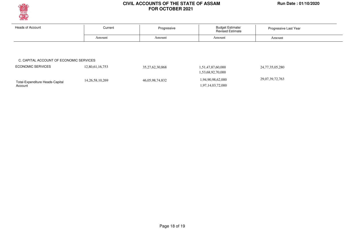

Account

#### **CIVIL ACCOUNTS OF THE STATE OF ASSAM Run Date : 01/10/2020 FOR OCTOBER 2021**

| <b>Heads of Account</b>                 | Current         | Progressive     | <b>Budget Estimate/</b><br><b>Revised Estimate</b> | Progressive Last Year |
|-----------------------------------------|-----------------|-----------------|----------------------------------------------------|-----------------------|
|                                         | Amount          | Amount          | Amount                                             | Amount                |
|                                         |                 |                 |                                                    |                       |
|                                         |                 |                 |                                                    |                       |
|                                         |                 |                 |                                                    |                       |
| C. CAPITAL ACCOUNT OF ECONOMIC SERVICES |                 |                 |                                                    |                       |
| <b>ECONOMIC SERVICES</b>                | 12,80,61,16,753 | 35,27,62,30,868 | 1,51,47,87,60,000                                  | 24,77,35,05,280       |
|                                         |                 |                 | 1,53,68,92,70,000                                  |                       |

1,97,14,03,72,000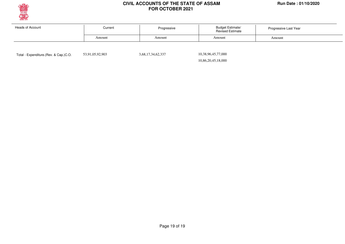

| Heads of Account | Current | Progressive | <b>Budget Estimate/</b><br><b>Revised Estimate</b> | Progressive Last Year |  |
|------------------|---------|-------------|----------------------------------------------------|-----------------------|--|
|                  | Amount  | Amount      | Amount                                             | Amount                |  |
|                  |         |             |                                                    |                       |  |

Total - Expenditure.(Rev. & Cap.)C.O. 53,91,05,92,903 3,68,17,34,62,337

10,38,96,45,77,000

10,86,20,45,18,000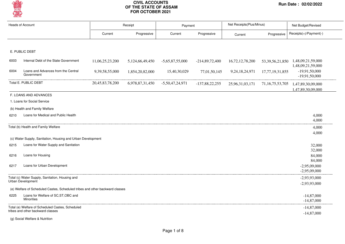

| <b>Heads of Account</b> |                                                                              |                 | Receipt         |                   | Payment          | Net Receipts(Plus/Minus) |                     | Net Budget/Revised                                              |  |
|-------------------------|------------------------------------------------------------------------------|-----------------|-----------------|-------------------|------------------|--------------------------|---------------------|-----------------------------------------------------------------|--|
|                         |                                                                              | Current         | Progressive     | Current           | Progressive      | Current                  | Progressive         | Receipts(+)/Payment(-)                                          |  |
|                         |                                                                              |                 |                 |                   |                  |                          |                     |                                                                 |  |
|                         | E. PUBLIC DEBT                                                               |                 |                 |                   |                  |                          |                     |                                                                 |  |
| 6003                    | Internal Debt of the State Government                                        | 11,06,25,23,200 | 5,124,66,49,450 | $-5,65,87,55,000$ | $-214,89,72,400$ | 16,72,12,78,200          |                     | 53, 39, 56, 21, 850 1, 48, 09, 21, 59, 000<br>1,48,09,21,59,000 |  |
| 6004                    | Loans and Advances from the Central<br>Government                            | 9,39,58,55,000  | 1,854,20,82,000 | 15,40,30,029      | 77,01,50,145     | 9,24,18,24,971           | 17,77,19,31,855     | $-19,91,50,000$<br>$-19,91,50,000$                              |  |
|                         | Total E. PUBLIC DEBT                                                         | 20,45,83,78,200 | 6,978,87,31,450 | $-5,50,47,24,971$ | $-137,88,22,255$ | 25,96,31,03,171          | 71, 16, 75, 53, 705 | 1,47,89,30,09,000<br>1,47,89,30,09,000                          |  |
|                         | F. LOANS AND ADVANCES                                                        |                 |                 |                   |                  |                          |                     |                                                                 |  |
|                         | 1. Loans for Social Service                                                  |                 |                 |                   |                  |                          |                     |                                                                 |  |
|                         | (b) Health and Family Welfare                                                |                 |                 |                   |                  |                          |                     |                                                                 |  |
| 6210                    | Loans for Medical and Public Health                                          |                 |                 |                   |                  |                          |                     | 4,000<br>4,000                                                  |  |
|                         | Total (b) Health and Family Welfare                                          |                 |                 |                   |                  |                          |                     | 4,000                                                           |  |
|                         | (c) Water Supply, Sanitation, Housing and Urban Development                  |                 |                 |                   |                  |                          |                     | 4,000                                                           |  |
| 6215                    | Loans for Water Supply and Sanitation                                        |                 |                 |                   |                  |                          |                     | 32,000                                                          |  |
|                         |                                                                              |                 |                 |                   |                  |                          |                     | 32,000                                                          |  |
| 6216                    | Loans for Housing                                                            |                 |                 |                   |                  |                          |                     | 84,000<br>84,000                                                |  |
| 6217                    | Loans for Urban Development                                                  |                 |                 |                   |                  |                          |                     | $-2,95,09,000$<br>$-2,95,09,000$                                |  |
|                         | Total (c) Water Supply, Sanitation, Housing and                              |                 |                 |                   |                  |                          |                     | $-2,93,93,000$                                                  |  |
|                         | Urban Development                                                            |                 |                 |                   |                  |                          |                     | $-2,93,93,000$                                                  |  |
|                         | (e) Welfare of Scheduled Castes, Scheduled tribes and other backward classes |                 |                 |                   |                  |                          |                     |                                                                 |  |
| 6225                    | Loans for Welfare of SC, ST, OBC and<br><b>Minorities</b>                    |                 |                 |                   |                  |                          |                     | $-14,87,000$<br>$-14,87,000$                                    |  |
|                         | Total (e) Welfare of Scheduled Castes, Scheduled                             |                 |                 |                   |                  |                          |                     | $-14,87,000$                                                    |  |
|                         | tribes and other backward classes                                            |                 |                 |                   |                  |                          |                     | $-14,87,000$                                                    |  |

(g) Social Welfare & Nutrition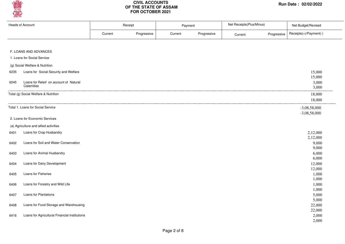

|      | <b>Heads of Account</b>                              | Receipt |             | Payment |             | Net Receipts(Plus/Minus) |             | Net Budget/Revised               |  |
|------|------------------------------------------------------|---------|-------------|---------|-------------|--------------------------|-------------|----------------------------------|--|
|      |                                                      | Current | Progressive | Current | Progressive | Current                  | Progressive | Receipts(+)/Payment(-)           |  |
|      | F. LOANS AND ADVANCES                                |         |             |         |             |                          |             |                                  |  |
|      | 1. Loans for Social Service                          |         |             |         |             |                          |             |                                  |  |
|      | (g) Social Welfare & Nutrition                       |         |             |         |             |                          |             |                                  |  |
| 6235 | Loans for Social Security and Welfare                |         |             |         |             |                          |             | 15,000<br>15,000                 |  |
| 6245 | Loans for Releif on account of Natural<br>Calamities |         |             |         |             |                          |             | 3,000<br>3,000                   |  |
|      | Total (g) Social Welfare & Nutrition                 |         |             |         |             |                          |             | 18,000<br>18,000                 |  |
|      | Total 1. Loans for Social Service                    |         |             |         |             |                          |             | $-3,08,58,000$<br>$-3,08,58,000$ |  |
|      | 2. Loans for Economic Services                       |         |             |         |             |                          |             |                                  |  |
|      | (a) Agriculture and allied activities                |         |             |         |             |                          |             |                                  |  |
| 6401 | Loans for Crop Husbandry                             |         |             |         |             |                          |             | 2,12,000<br>2,12,000             |  |
| 6402 | Loans for Soil and Water Conservation                |         |             |         |             |                          |             | 9,000<br>9,000                   |  |
| 6403 | Loans for Animal Husbandry                           |         |             |         |             |                          |             | 6,000                            |  |
| 6404 | Loans for Dairy Development                          |         |             |         |             |                          |             | 6,000<br>12,000                  |  |
| 6405 | Loans for Fisheries                                  |         |             |         |             |                          |             | 12,000<br>1,000<br>1,000         |  |
| 6406 | Loans for Forestry and Wild Life                     |         |             |         |             |                          |             | 1,000<br>1,000                   |  |
| 6407 | Loans for Plantations                                |         |             |         |             |                          |             | 5,000                            |  |
| 6408 | Loans for Food Storage and Warehousing               |         |             |         |             |                          |             | 5,000<br>22,000                  |  |
| 6416 | Loans for Agricultural Financial Institutions        |         |             |         |             |                          |             | 22,000<br>2,000<br>2,000         |  |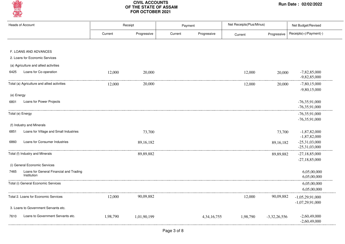

|            | <b>Heads of Account</b>                     |          | Receipt     | Payment |                | Net Receipts(Plus/Minus) |                | Net Budget/Revised               |
|------------|---------------------------------------------|----------|-------------|---------|----------------|--------------------------|----------------|----------------------------------|
|            |                                             | Current  | Progressive | Current | Progressive    | Current                  | Progressive    | Receipts(+)/Payment(-)           |
|            |                                             |          |             |         |                |                          |                |                                  |
|            | F. LOANS AND ADVANCES                       |          |             |         |                |                          |                |                                  |
|            | 2. Loans for Economic Services              |          |             |         |                |                          |                |                                  |
|            | (a) Agriculture and allied activities       |          |             |         |                |                          |                |                                  |
| 6425       | Loans for Co-operation                      | 12,000   | 20,000      |         |                | 12,000                   | 20,000         | $-7,82,85,000$<br>$-9,82,85,000$ |
|            | Total (a) Agriculture and allied activities | 12,000   | 20,000      |         |                | 12,000                   | 20,000         | $-7,80,15,000$                   |
|            |                                             |          |             |         |                |                          |                | $-9,80,15,000$                   |
| (e) Energy |                                             |          |             |         |                |                          |                |                                  |
| 6801       | Loans for Power Projects                    |          |             |         |                |                          |                | $-76,35,91,000$                  |
|            |                                             |          |             |         |                |                          |                | $-76,35,91,000$                  |
|            | Total (e) Energy                            |          |             |         |                |                          |                | $-76,35,91,000$                  |
|            | (f) Industry and Minerals                   |          |             |         |                |                          |                | $-76,35,91,000$                  |
| 6851       | Loans for Village and Small Industries      |          | 73,700      |         |                |                          | 73,700         | $-1,87,82,000$                   |
|            |                                             |          |             |         |                |                          |                | $-1,87,82,000$                   |
| 6860       | Loans for Consumer Industries               |          | 89,16,182   |         |                |                          | 89, 16, 182    | $-25,31,03,000$                  |
|            |                                             |          |             |         |                |                          |                | $-25,31,03,000$                  |
|            | Total (f) Industry and Minerals             |          | 89,89,882   |         |                |                          | 89,89,882      | $-27,18,85,000$                  |
|            | (i) General Economic Services               |          |             |         |                |                          |                | $-27,18,85,000$                  |
| 7465       | Loans for General Financial and Trading     |          |             |         |                |                          |                |                                  |
|            | Institution                                 |          |             |         |                |                          |                | 6,05,00,000<br>6,05,00,000       |
|            | Total (i) General Economic Services         |          |             |         |                |                          |                | 6,05,00,000                      |
|            |                                             |          |             |         |                |                          |                | 6,05,00,000                      |
|            | Total 2. Loans for Economic Services        | 12,000   | 90,09,882   |         |                | 12,000                   | 90,09,882      | $-1,05,29,91,000$                |
|            |                                             |          |             |         |                |                          |                | $-1,07,29,91,000$                |
|            | 3. Loans to Government Servants etc.        |          |             |         |                |                          |                |                                  |
| 7610       | Loans to Government Servants etc.           | 1,98,790 | 1,01,90,199 |         | 4, 34, 16, 755 | 1,98,790                 | $-3,32,26,556$ | $-2,60,49,000$                   |
|            |                                             |          |             |         |                |                          |                | $-2,60,49,000$                   |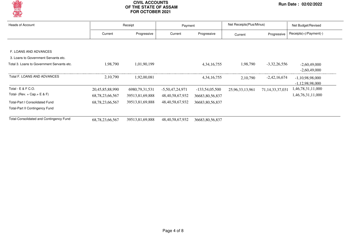

| <b>Heads of Account</b><br>Receipt             |                     | Payment           |                     | Net Receipts (Plus/Minus) |                 | Net Budget/Revised  |                          |
|------------------------------------------------|---------------------|-------------------|---------------------|---------------------------|-----------------|---------------------|--------------------------|
|                                                | Current             | Progressive       | Current             | Progressive               | Current         | Progressive         | $Receipts(+)/Payment(-)$ |
|                                                |                     |                   |                     |                           |                 |                     |                          |
| F. LOANS AND ADVANCES                          |                     |                   |                     |                           |                 |                     |                          |
| 3. Loans to Government Servants etc.           |                     |                   |                     |                           |                 |                     |                          |
| Total 3. Loans to Government Servants etc.     | 1,98,790            | 1,01,90,199       |                     | 4, 34, 16, 755            | 1,98,790        | $-3,32,26,556$      | $-2,60,49,000$           |
|                                                |                     |                   |                     |                           |                 |                     | $-2,60,49,000$           |
| Total F. LOANS AND ADVANCES                    | 2,10,790            | 1,92,00,081       |                     | 4, 34, 16, 755            | 2, 10, 790      | $-2,42,16,674$      | $-1,10,98,98,000$        |
|                                                |                     |                   |                     |                           |                 |                     | $-1,12,98,98,000$        |
| Total - E & F C.O.                             | 20,45,85,88,990     | 6980, 79, 31, 531 | $-5,50,47,24,971$   | $-133,54,05,500$          | 25,96,33,13,961 | 71, 14, 33, 37, 031 | 1,46,78,31,11,000        |
| Total- (Rev. + Cap. + E & F)                   | 68, 78, 23, 66, 567 | 39513,81,69,888   | 48, 40, 58, 67, 932 | 36683,80,56,837           |                 |                     | 1,46,76,31,11,000        |
| <b>Total-Part I Consolidated Fund</b>          | 68, 78, 23, 66, 567 | 39513,81,69,888   | 48, 40, 58, 67, 932 | 36683,80,56,837           |                 |                     |                          |
| <b>Total-Part II Contingency Fund</b>          |                     |                   |                     |                           |                 |                     |                          |
| <b>Total-Consolidated and Contingency Fund</b> | 68, 78, 23, 66, 567 | 39513,81,69,888   | 48, 40, 58, 67, 932 | 36683, 80, 56, 837        |                 |                     |                          |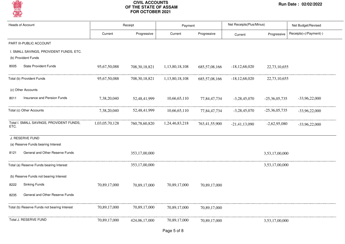

| <b>Heads of Account</b> |                                                                | Receipt        |                  | Payment        |                  | Net Receipts(Plus/Minus) |                 | Net Budget/Revised     |  |
|-------------------------|----------------------------------------------------------------|----------------|------------------|----------------|------------------|--------------------------|-----------------|------------------------|--|
|                         |                                                                | Current        | Progressive      | Current        | Progressive      | Current                  | Progressive     | Receipts(+)/Payment(-) |  |
|                         | PART III-PUBLIC ACCOUNT                                        |                |                  |                |                  |                          |                 |                        |  |
|                         | I. SMALL SAVINGS, PROVIDENT FUNDS, ETC.<br>(b) Provident Funds |                |                  |                |                  |                          |                 |                        |  |
| 8005                    | <b>State Provident Funds</b>                                   | 95,67,50,088   | 708, 30, 18, 821 | 1,13,80,18,108 | 685, 57, 08, 166 | $-18,12,68,020$          | 22,73,10,655    |                        |  |
|                         | Total (b) Provident Funds                                      | 95,67,50,088   | 708, 30, 18, 821 | 1,13,80,18,108 | 685, 57, 08, 166 | $-18, 12, 68, 020$       | 22,73,10,655    |                        |  |
|                         | (c) Other Accounts                                             |                |                  |                |                  |                          |                 |                        |  |
| 8011                    | Insurance and Pension Funds                                    | 7,38,20,040    | 52,48,41,999     | 10,66,65,110   | 77,84,47,734     | $-3,28,45,070$           | $-25,36,05,735$ | $-33,96,22,000$        |  |
|                         | Total (c) Other Accounts                                       | 7,38,20,040    | 52,48,41,999     | 10,66,65,110   | 77,84,47,734     | $-3,28,45,070$           | $-25,36,05,735$ | $-33,96,22,000$        |  |
| ETC.                    | Total I. SMALL SAVINGS, PROVIDENT FUNDS,                       | 1,03,05,70,128 | 760,78,60,820    | 1,24,46,83,218 | 763,41,55,900    | $-21,41,13,090$          | $-2,62,95,080$  | $-33,96,22,000$        |  |
|                         | J. RESERVE FUND                                                |                |                  |                |                  |                          |                 |                        |  |
|                         | (a) Reserve Funds bearing Interest                             |                |                  |                |                  |                          |                 |                        |  |
| 8121                    | General and Other Reserve Funds                                |                | 353,17,00,000    |                |                  |                          | 3,53,17,00,000  |                        |  |
|                         | Total (a) Reserve Funds bearing Interest                       |                | 353,17,00,000    |                |                  |                          | 3,53,17,00,000  |                        |  |
|                         | (b) Reserve Funds not bearing Interest                         |                |                  |                |                  |                          |                 |                        |  |
| 8222                    | <b>Sinking Funds</b>                                           | 70,89,17,000   | 70,89,17,000     | 70,89,17,000   | 70,89,17,000     |                          |                 |                        |  |
| 8235                    | General and Other Reserve Funds                                |                |                  |                |                  |                          |                 |                        |  |
|                         | Total (b) Reserve Funds not bearing Interest                   | 70,89,17,000   | 70,89,17,000     | 70,89,17,000   | 70,89,17,000     |                          |                 |                        |  |
|                         | Total J. RESERVE FUND                                          | 70,89,17,000   | 424,06,17,000    | 70,89,17,000   | 70,89,17,000     |                          | 3,53,17,00,000  |                        |  |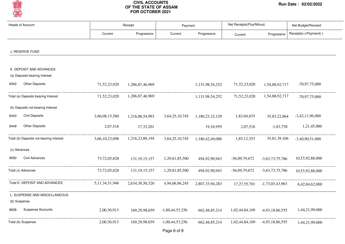

| <b>Heads of Account</b>                                  |                    | Receipt          |                   | Payment          | Net Receipts(Plus/Minus) |                   | Net Budget/Revised     |  |
|----------------------------------------------------------|--------------------|------------------|-------------------|------------------|--------------------------|-------------------|------------------------|--|
|                                                          | Current            | Progressive      | Current           | Progressive      | Current                  | Progressive       | Receipts(+)/Payment(-) |  |
| J. RESERVE FUND                                          |                    |                  |                   |                  |                          |                   |                        |  |
|                                                          |                    |                  |                   |                  |                          |                   |                        |  |
| K. DEPOSIT AND ADVANCES<br>(a) Deposits bearing Interest |                    |                  |                   |                  |                          |                   |                        |  |
| <b>Other Deposits</b><br>8342                            | 71,52,23,020       | 1,286,87,46,969  |                   | 1,131,98,54,252  | 71,52,23,020             | 1,54,88,92,717    | $-70,97,75,000$        |  |
| Total (a) Deposits bearing Interest                      | 71,52,23,020       | 1,286,87,46,969  |                   | 1,131,98,54,252  | 71,52,23,020             | 1,54,88,92,717    | $-70,97,75,000$        |  |
| (b) Deposits not bearing Interest                        |                    |                  |                   |                  |                          |                   |                        |  |
| <b>Civil Deposits</b><br>8443                            | 3,66,08,15,580     | 1,216,06,54,993  | 3,64,25,10,745    | 1,180,23,32,129  | 1,83,04,835              | 35,83,22,864      | $-3,42,11,96,000$      |  |
| <b>Other Deposits</b><br>8449                            | 2,07,518           | 17,33,201        |                   | 19,16,959        | 2,07,518                 | $-1,83,758$       | 1,21,45,000            |  |
| Total (b) Deposits not bearing Interest                  | 3,66,10,23,098     | 1,216,23,88,194  | 3,64,25,10,745    | 1,180,42,49,088  | 1,85,12,353              | 35,81,39,106      | $-3,40,90,51,000$      |  |
| (c) Advances                                             |                    |                  |                   |                  |                          |                   |                        |  |
| Civil Advances<br>8550                                   | 73,72,05,828       | 131, 19, 15, 157 | 1,29,81,85,500    | 494,92,90,943    | $-56,09,79,672$          | $-3,63,73,75,786$ | 10,53,92,88,000        |  |
| Total (c) Advances                                       | 73, 72, 05, 828    | 131, 19, 15, 157 | 1,29,81,85,500    | 494,92,90,943    | $-56,09,79,672$          | $-3,63,73,75,786$ | 10,53,92,88,000        |  |
| Total K. DEPOSIT AND ADVANCES                            | 5, 11, 34, 51, 946 | 2,634,30,50,320  | 4,94,06,96,245    | 2,807,33,94,283  | 17,27,55,701             | $-1,73,03,43,963$ | 6,42,04,62,000         |  |
| L. SUSPENSE AND MISCELLANEOUS<br>(b) Suspense            |                    |                  |                   |                  |                          |                   |                        |  |
| <b>Suspense Accounts</b><br>8658                         | 2,00,30,913        | 169.29.98.659    | $-1,00,44,53,256$ | 662, 48, 85, 214 | 1,02,44,84,169           | -4.93.18.86.555   | 1,44,21,99,000         |  |
| Total (b) Suspense                                       | 2,00,30,913        | 169,29,98,659    | $-1,00,44,53,256$ | 662, 48, 85, 214 | 1,02,44,84,169           | -4,93,18,86,555   | 1,44,21,99,000         |  |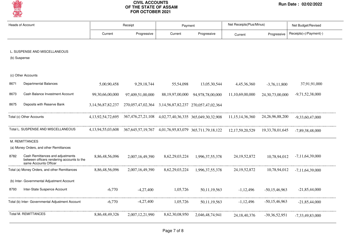

|      | <b>Heads of Account</b>                                                                                 | Receipt                |                                                                                        | Payment         |                                     | Net Receipts(Plus/Minus) |                     | Net Budget/Revised     |  |
|------|---------------------------------------------------------------------------------------------------------|------------------------|----------------------------------------------------------------------------------------|-----------------|-------------------------------------|--------------------------|---------------------|------------------------|--|
|      |                                                                                                         | Current                | Progressive                                                                            | Current         | Progressive                         | Current                  | Progressive         | Receipts(+)/Payment(-) |  |
|      | L. SUSPENSE AND MISCELLANEOUS<br>(b) Suspense                                                           |                        |                                                                                        |                 |                                     |                          |                     |                        |  |
|      | (c) Other Accounts                                                                                      |                        |                                                                                        |                 |                                     |                          |                     |                        |  |
| 8671 | <b>Departmental Balances</b>                                                                            | 5,00,90,458            | 9, 29, 18, 744                                                                         | 55,54,098       | 13,05,30,544                        | 4,45,36,360              | $-3,76,11,800$      | 37,91,91,000           |  |
| 8673 | Cash Balance Investment Account                                                                         | 99,30,66,00,000        | 97,409,51,00,000                                                                       | 88,19,97,00,000 | 94,978,78,00,000                    | 11,10,69,00,000          | 24, 30, 73, 00, 000 | $-9,71,52,38,000$      |  |
| 8675 | Deposits with Reserve Bank                                                                              | 3, 14, 56, 87, 82, 237 | 270,057,47,02,364                                                                      |                 | 3,14,56,87,82,237 270,057,47,02,364 |                          |                     |                        |  |
|      | Total (c) Other Accounts                                                                                | 4, 13, 92, 54, 72, 695 | 367,476,27,21,108 4,02,77,40,36,335 365,049,30,32,908                                  |                 |                                     | 11, 15, 14, 36, 360      | 24, 26, 96, 88, 200 | $-9.33.60.47.000$      |  |
|      | Total L. SUSPENSE AND MISCELLANEOUS                                                                     | 4, 13, 94, 55, 03, 608 | 367, 645, 57, 19, 767 4, 01, 76, 95, 83, 079 365, 711, 79, 18, 122 12, 17, 59, 20, 529 |                 |                                     |                          | 19, 33, 78, 01, 645 | $-7,89,38,48,000$      |  |
|      | M. REMITTANCES                                                                                          |                        |                                                                                        |                 |                                     |                          |                     |                        |  |
|      | (a) Money Orders, and other Remittances                                                                 |                        |                                                                                        |                 |                                     |                          |                     |                        |  |
| 8782 | Cash Remittances and adjustments<br>between officers rendering accounts to the<br>same Accounts Officer | 8,86,48,56,096         | 2,007,16,49,390                                                                        | 8,62,29,03,224  | 1,996,37,55,378                     | 24, 19, 52, 872          | 10,78,94,012        | $-7,11,64,39,000$      |  |
|      | Total (a) Money Orders, and other Remittances                                                           | 8,86,48,56,096         | 2,007,16,49,390                                                                        | 8,62,29,03,224  | 1,996,37,55,378                     | 24, 19, 52, 872          | 10,78,94,012        | $-7,11,64,39,000$      |  |
|      | (b) Inter- Governmental Adjustment Account                                                              |                        |                                                                                        |                 |                                     |                          |                     |                        |  |
| 8793 | Inter-State Suspence Account                                                                            | $-6,770$               | $-4,27,400$                                                                            | 1,05,726        | 50,11,19,563                        | $-1,12,496$              | $-50,15,46,963$     | $-21,85,44,000$        |  |
|      | Total (b) Inter- Governmental Adjustment Account                                                        | $-6,770$               | $-4,27,400$                                                                            | 1,05,726        | 50, 11, 19, 563                     | $-1,12,496$              | $-50,15,46,963$     | $-21,85,44,000$        |  |
|      | <b>Total M. REMITTANCES</b>                                                                             | 8,86,48,49,326         | 2,007,12,21,990                                                                        | 8,62,30,08,950  | 2,046,48,74,941                     | 24, 18, 40, 376          | $-39,36,52,951$     | $-7,33,49,83,000$      |  |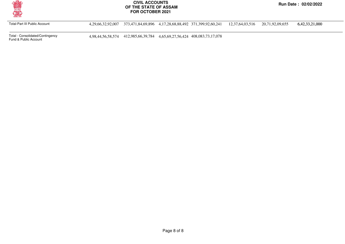

Total-Part III Public Account 4,29,66,32,92,007 373,471,84,69,896 4,17,28,68,88,492 371,399,92,60,241 12,37,64,03,516 20,71,92,09,655 6,42,33,21,000

Total - Consolidated/Contingency

4,98,44,56,58,574 412,985,66,39,784 4,65,69,27,56,424 408,083,73,17,078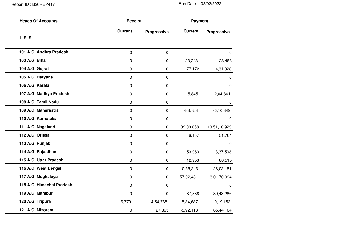| <b>Heads Of Accounts</b>  |                | Receipt     |                | <b>Payment</b>     |  |  |
|---------------------------|----------------|-------------|----------------|--------------------|--|--|
| I. S. S.                  | <b>Current</b> | Progressive | <b>Current</b> | <b>Progressive</b> |  |  |
| 101 A.G. Andhra Pradesh   | 0              | 0           |                | 0                  |  |  |
| 103 A.G. Bihar            | 0              | $\pmb{0}$   | $-23,243$      | 28,483             |  |  |
| 104 A.G. Gujrat           | 0              | 0           | 77,172         | 4,31,328           |  |  |
| 105 A.G. Haryana          | 0              | 0           |                | 0                  |  |  |
| 106 A.G. Kerala           | 0              | 0           |                | 0                  |  |  |
| 107 A.G. Madhya Pradesh   | 0              | 0           | $-5,845$       | $-2,04,861$        |  |  |
| 108 A.G. Tamil Nadu       | 0              | 0           |                | 0                  |  |  |
| 109 A.G. Maharastra       | 0              | 0           | $-83,753$      | $-6, 10, 849$      |  |  |
| 110 A.G. Karnataka        | 0              | 0           |                | 0                  |  |  |
| 111 A.G. Nagaland         | 0              | 0           | 32,00,058      | 10,51,10,923       |  |  |
| 112 A.G. Orissa           | 0              | 0           | 6,107          | 51,764             |  |  |
| 113 A.G. Punjab           | 0              | 0           |                | 0                  |  |  |
| 114 A.G. Rajasthan        | 0              | 0           | 53,963         | 3,37,503           |  |  |
| 115 A.G. Uttar Pradesh    | 0              | 0           | 12,953         | 80,515             |  |  |
| 116 A.G. West Bengal      | 0              | 0           | $-10,55,243$   | 23,02,181          |  |  |
| 117 A.G. Meghalaya        | 0              | 0           | $-57,92,481$   | 3,01,70,094        |  |  |
| 118 A.G. Himachal Pradesh | 0              | 0           |                | 0                  |  |  |
| 119 A.G. Manipur          | 0              | $\Omega$    | 87,388         | 39,43,286          |  |  |
| 120 A.G. Tripura          | $-6,770$       | $-4,54,765$ | $-5,84,687$    | $-9, 19, 153$      |  |  |
| 121 A.G. Mizoram          | 0              | 27,365      | $-5,92,118$    | 1,65,44,104        |  |  |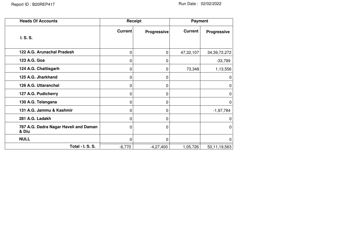| <b>Heads Of Accounts</b>                       |                | Receipt     | <b>Payment</b> |                 |
|------------------------------------------------|----------------|-------------|----------------|-----------------|
| I. S. S.                                       | <b>Current</b> | Progressive | <b>Current</b> | Progressive     |
| 122 A.G. Arunachal Pradesh                     | 0              | 0           | 47,32,107      | 34, 39, 72, 272 |
| 123 A.G. Goa                                   | 0              | 0           |                | $-33,799$       |
| 124 A.G. Chattisgarh                           | 0              | 0           | 73,348         | 1,13,556        |
| 125 A.G. Jharkhand                             | 0              | 0           |                | 0               |
| 126 A.G. Uttaranchal                           | 0              | 0           |                | 0               |
| 127 A.G. Pudicherry                            | 0              | 0           |                | 0               |
| 130 A.G. Telangana                             | 0              | 0           |                | 0               |
| 131 A.G. Jammu & Kashmir                       | 0              | 0           |                | $-1,97,784$     |
| 281 A.G. Ladakh                                | 0              | 0           |                | O               |
| 787 A.G. Dadra Nagar Haveli and Daman<br>& Diu | 0              | 0           |                | 0               |
| <b>NULL</b>                                    | 0              | $\Omega$    |                | 0               |
| Total - I. S. S.                               | $-6,770$       | $-4,27,400$ | 1,05,726       | 50,11,19,563    |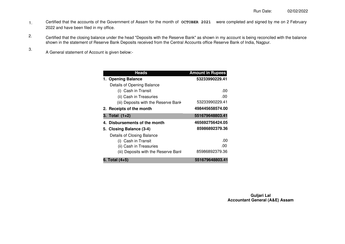- Certified that the accounts of the Government of Assam for the month of **OCTOBER 2021** were completed and signed by me on 2 February 2022 and have been filed in my office. 1.
- Certified that the closing balance under the head "Deposits with the Reserve Bank" as shown in my account is being reconciled with the balance shown in the statement of Reserve Bank Deposits received from the Central Accounts office Reserve Bank of India, Nagpur. 2.
	- A General statement of Account is given below:-

3.

| <b>Heads</b>                                                                 | <b>Amount in Rupees</b> |
|------------------------------------------------------------------------------|-------------------------|
| 1. Opening Balance                                                           | 53233990229.41          |
| Details of Opening Balance                                                   |                         |
| (i) Cash in Transit                                                          | .00                     |
| (ii) Cash in Treasuries                                                      | .00                     |
| (iii) Deposits with the Reserve Bank                                         | 53233990229.41          |
| 2. Receipts of the month                                                     | 498445658574.00         |
| 3. Total (1+2)                                                               | 551679648803.41         |
| 4. Disbursements of the month                                                | 465692756424.05         |
| 5. Closing Balance (3-4)                                                     | 85986892379.36          |
| Details of Closing Balance<br>(i) Cash in Transit<br>(ii) Cash in Treasuries | .00<br>.00              |
| (iii) Deposits with the Reserve Bank                                         | 85986892379.36          |
| 6. Total (4+5)                                                               | 551679648803.41         |

**Guljari Lal Accountant General (A&E) Assam**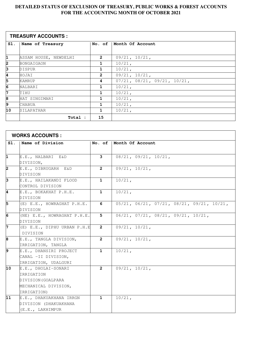#### **DETAILED STATUS OF EXCLUSION OF TREASURY, PUBLIC WORKS & FOREST ACCOUNTS FOR THE ACCOUNTING MONTH OF OCTOBER 2021**

|                | <b>TREASURY ACCOUNTS:</b> |                |                                         |  |  |  |  |  |
|----------------|---------------------------|----------------|-----------------------------------------|--|--|--|--|--|
| SI.            | Name of Treasury          | No. of         | Month Of Account                        |  |  |  |  |  |
|                |                           |                |                                         |  |  |  |  |  |
| 1              | ASSAM HOUSE, NEWDELHI     | $\overline{2}$ | $09/21$ , $10/21$ ,                     |  |  |  |  |  |
| $\overline{2}$ | BONGAIGAON                | 1              | $10/21$ ,                               |  |  |  |  |  |
| β              | DISPUR                    | 1              | $10/21$ ,                               |  |  |  |  |  |
| 4              | HOJAI                     | $\overline{2}$ | 09/21, 10/21,                           |  |  |  |  |  |
| 5              | KAMRUP                    | 4              | $07/21$ , $08/21$ , $09/21$ , $10/21$ , |  |  |  |  |  |
| $\overline{6}$ | NALBARI                   | 1              | $10/21$ ,                               |  |  |  |  |  |
| 7              | TIHU                      | 1              | $10/21$ ,                               |  |  |  |  |  |
| 8              | HAT SINGIMARI             | 1              | $10/21$ ,                               |  |  |  |  |  |
| 9              | CHABUA                    | 1              | $10/21$ ,                               |  |  |  |  |  |
| 10             | SILAPATHAR                | 1              | $10/21$ ,                               |  |  |  |  |  |
|                | Total :                   | 15             |                                         |  |  |  |  |  |

| <b>WORKS ACCOUNTS:</b> |                             |                |                                                             |  |
|------------------------|-----------------------------|----------------|-------------------------------------------------------------|--|
| SI.                    | Name of Division            | No. of         | Month Of Account                                            |  |
|                        |                             |                |                                                             |  |
| 1                      | E.E., NALBARI E&D           | 3              | $08/21$ , $09/21$ , $10/21$ ,                               |  |
|                        | DIVISION,                   |                |                                                             |  |
| 2                      | E.E., DIBRUGARH E&D         | $\overline{2}$ | 09/21, 10/21,                                               |  |
|                        | DIVISION                    |                |                                                             |  |
| $\overline{3}$         | E.E., HAILAKANDI FLOOD      | $\mathbf{1}$   | $10/21$ ,                                                   |  |
|                        | CONTROL DIVISION            |                |                                                             |  |
| 4                      | E.E., BOKAKHAT P.H.E.       | $\mathbf{1}$   | $10/21$ ,                                                   |  |
|                        | DIVISION                    |                |                                                             |  |
| 5                      | (E) E.E., HOWRAGHAT P.H.E.  | 6              | $05/21$ , $06/21$ , $07/21$ , $08/21$ , $09/21$ , $10/21$ , |  |
|                        | DIVISION                    |                |                                                             |  |
| 6                      | (NE) E.E., HOWRAGHAT P.H.E. | 5              | 06/21, 07/21, 08/21, 09/21, 10/21,                          |  |
|                        | DIVISION                    |                |                                                             |  |
| 7                      | (E) E.E., DIPHU URBAN P.H.E | $\overline{2}$ | 09/21, 10/21,                                               |  |
|                        | DIVISION                    |                |                                                             |  |
| 8                      | E.E., TANGLA DIVISION,      | $\overline{2}$ | 09/21, 10/21,                                               |  |
|                        | IRRIGATION, TANGLA          |                |                                                             |  |
| 9                      | E.E., DHANSIRI PROJECT      | $\mathbf{1}$   | $10/21$ ,                                                   |  |
|                        | CANAL -II DIVISION,         |                |                                                             |  |
|                        | IRRIGATION, UDALGURI        |                |                                                             |  |
| 10                     | E.E., DHOLAI-SONARI         | $\overline{2}$ | $09/21$ , $10/21$ ,                                         |  |
|                        | IRRIGATION                  |                |                                                             |  |
|                        | DIVISION (GOALPARA          |                |                                                             |  |
|                        | MECHANICAL DIVISION,        |                |                                                             |  |
|                        | IRRIGATION)                 |                |                                                             |  |
| 11                     | E.E., DHAKUAKHANA IRRGN     | $\mathbf{1}$   | $10/21$ ,                                                   |  |
|                        | DIVISION (DHAKUAKHANA       |                |                                                             |  |
|                        | (E.E., LAKHIMPUR            |                |                                                             |  |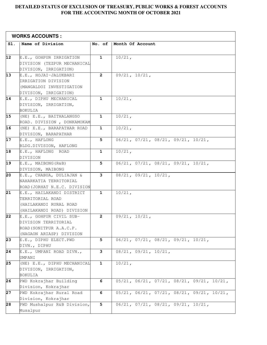#### **DETAILED STATUS OF EXCLUSION OF TREASURY, PUBLIC WORKS & FOREST ACCOUNTS FOR THE ACCOUNTING MONTH OF OCTOBER 2021**

| <b>WORKS ACCOUNTS:</b> |                              |              |                                                             |  |
|------------------------|------------------------------|--------------|-------------------------------------------------------------|--|
| Sl.                    | Name of Division             | No. of       | Month Of Account                                            |  |
|                        |                              |              |                                                             |  |
| 12                     | E.E., GOHPUR IRRIGATION      | $\mathbf{1}$ | $10/21$ ,                                                   |  |
|                        | DIVISION (TEZPUR MECHANICAL  |              |                                                             |  |
|                        | DIVISION, IRRIGATION)        |              |                                                             |  |
| 13                     | E.E., HOJAI-JALUKBARI        | $\mathbf{2}$ | $09/21$ , $10/21$ ,                                         |  |
|                        | IRRIGATION DIVISION          |              |                                                             |  |
|                        | (MANGALDOI INVESTIGATION     |              |                                                             |  |
|                        | DIVISION, IRRIGATION)        |              |                                                             |  |
| 14                     | E.E., DIPHU MECHANICAL       | 1            | $10/21$ ,                                                   |  |
|                        | DIVISION, IRRIGATION,        |              |                                                             |  |
|                        | BOKULIA                      |              |                                                             |  |
| 15                     | (NE) E.E., BAITHALANGSO      | $\mathbf{1}$ | $10/21$ ,                                                   |  |
|                        | ROAD. DIVISION, DONKAMOKAM   |              |                                                             |  |
| 16                     | (NE) E.E., BARAPATHAR ROAD   | $\mathbf{1}$ | $10/21$ ,                                                   |  |
|                        | DIVISION, BARAPATHAR         |              |                                                             |  |
| $\overline{17}$        | E.E., HAFLONG                | 5            | $06/21$ , $07/21$ , $08/21$ , $09/21$ , $10/21$ ,           |  |
|                        | BLDG.DIVISION, HAFLONG       |              |                                                             |  |
| 18                     | E.E., HAFLONG ROAD           | $\mathbf{1}$ | $10/21$ ,                                                   |  |
|                        | DIVISION                     |              |                                                             |  |
| 19                     | E.E., MAIBONG(R&B)           | 5            | $06/21$ , $07/21$ , $08/21$ , $09/21$ , $10/21$ ,           |  |
|                        | DIVISION, MAIBONG            |              |                                                             |  |
| 20                     | E.E., CHABUA, DULIAJAN &     | 3            | $08/21$ , $09/21$ , $10/21$ ,                               |  |
|                        | NAHARKATIA TERRITORIAL       |              |                                                             |  |
|                        | ROAD (JORHAT N.E.C. DIVISION |              |                                                             |  |
| 21                     | E.E., HAILAKANDI DISTRICT    | $\mathbf{1}$ | $10/21$ ,                                                   |  |
|                        | TERRITORIAL ROAD             |              |                                                             |  |
|                        | (HAILAKANDI RURAL ROAD       |              |                                                             |  |
|                        | (HAILAKANDI ROAD) DIVISION   |              |                                                             |  |
| 22                     | E.E., GOHPUR CIVIL SUB-      | $\mathbf{2}$ | 09/21, 10/21,                                               |  |
|                        | DIVISION TERRITORIAL         |              |                                                             |  |
|                        | ROAD (SONITPUR A.A.C.P.      |              |                                                             |  |
|                        | (NAGAON ARIASP) DIVISION     |              |                                                             |  |
| 23                     | E.E., DIPHU ELECT.PWD        | 5            | $06/21$ , $07/21$ , $08/21$ , $09/21$ , $10/21$ ,           |  |
|                        | DIVN., DIPHU                 |              |                                                             |  |
| 24                     | E.E., UMPANI ROAD DIVN.,     | 3            | 08/21, 09/21, 10/21,                                        |  |
|                        | UMPANI                       |              |                                                             |  |
| 25                     | (NE) E.E., DIPHU MECHANICAL  | $\mathbf{1}$ | $10/21$ ,                                                   |  |
|                        | DIVISION, IRRIGATION,        |              |                                                             |  |
|                        | BOKULIA                      |              |                                                             |  |
| 26                     | PWD Kokrajhar Building       | 6            | $05/21$ , $06/21$ , $07/21$ , $08/21$ , $09/21$ , $10/21$ , |  |
|                        | Division, Kokrajhar          |              |                                                             |  |
| 27                     | PWD Kokrajhar Rural Road     | 6            | $05/21$ , $06/21$ , $07/21$ , $08/21$ , $09/21$ , $10/21$ , |  |
|                        | Division, Kokrajhar          |              |                                                             |  |
| $\overline{28}$        | PWD Mushalpur R&B Division,  | 5            | $06/21$ , $07/21$ , $08/21$ , $09/21$ , $10/21$ ,           |  |
|                        | Musalpur                     |              |                                                             |  |